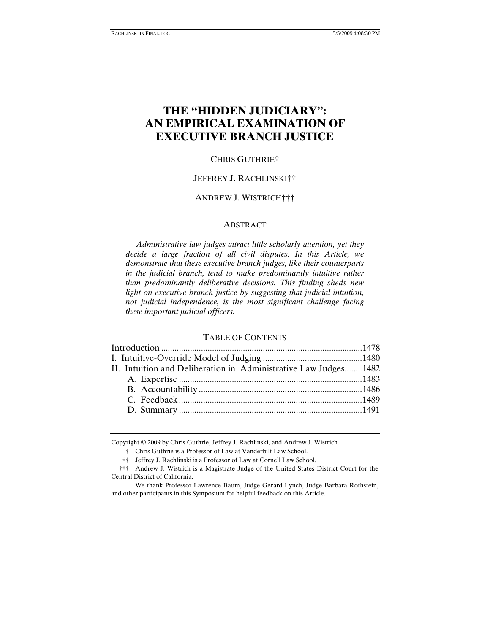# **THE "HIDDEN JUDICIARY": AN EMPIRICAL EXAMINATION OF EXECUTIVE BRANCH JUSTICE**

#### CHRIS GUTHRIE†

# JEFFREY J. RACHLINSKI††

#### ANDREW J. WISTRICH†††

#### ABSTRACT

 *Administrative law judges attract little scholarly attention, yet they decide a large fraction of all civil disputes. In this Article, we demonstrate that these executive branch judges, like their counterparts in the judicial branch, tend to make predominantly intuitive rather than predominantly deliberative decisions. This finding sheds new light on executive branch justice by suggesting that judicial intuition, not judicial independence, is the most significant challenge facing these important judicial officers.* 

# TABLE OF CONTENTS

| II. Intuition and Deliberation in Administrative Law Judges 1482 |  |
|------------------------------------------------------------------|--|
|                                                                  |  |
|                                                                  |  |
|                                                                  |  |
|                                                                  |  |
|                                                                  |  |

Copyright © 2009 by Chris Guthrie, Jeffrey J. Rachlinski, and Andrew J. Wistrich.

† Chris Guthrie is a Professor of Law at Vanderbilt Law School.

†† Jeffrey J. Rachlinski is a Professor of Law at Cornell Law School.

 ††† Andrew J. Wistrich is a Magistrate Judge of the United States District Court for the Central District of California.

 We thank Professor Lawrence Baum, Judge Gerard Lynch, Judge Barbara Rothstein, and other participants in this Symposium for helpful feedback on this Article.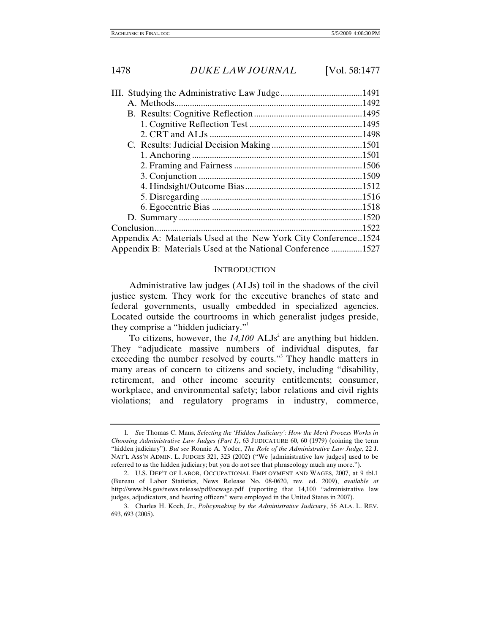| Appendix A: Materials Used at the New York City Conference1524 |  |
|----------------------------------------------------------------|--|
| Appendix B: Materials Used at the National Conference 1527     |  |

#### **INTRODUCTION**

Administrative law judges (ALJs) toil in the shadows of the civil justice system. They work for the executive branches of state and federal governments, usually embedded in specialized agencies. Located outside the courtrooms in which generalist judges preside, they comprise a "hidden judiciary."

To citizens, however, the  $14,100$  ALJs<sup>2</sup> are anything but hidden. They "adjudicate massive numbers of individual disputes, far exceeding the number resolved by courts."<sup>3</sup> They handle matters in many areas of concern to citizens and society, including "disability, retirement, and other income security entitlements; consumer, workplace, and environmental safety; labor relations and civil rights violations; and regulatory programs in industry, commerce,

<sup>1</sup>*. See* Thomas C. Mans, *Selecting the 'Hidden Judiciary': How the Merit Process Works in Choosing Administrative Law Judges (Part I)*, 63 JUDICATURE 60, 60 (1979) (coining the term "hidden judiciary"). *But see* Ronnie A. Yoder, *The Role of the Administrative Law Judge*, 22 J. NAT'L ASS'N ADMIN. L. JUDGES 321, 323 (2002) ("We [administrative law judges] used to be referred to as the hidden judiciary; but you do not see that phraseology much any more.").

 <sup>2.</sup> U.S. DEP'T OF LABOR, OCCUPATIONAL EMPLOYMENT AND WAGES, 2007, at 9 tbl.1 (Bureau of Labor Statistics, News Release No. 08-0620, rev. ed. 2009), *available at* http://www.bls.gov/news.release/pdf/ocwage.pdf (reporting that 14,100 "administrative law judges, adjudicators, and hearing officers" were employed in the United States in 2007).

 <sup>3.</sup> Charles H. Koch, Jr., *Policymaking by the Administrative Judiciary*, 56 ALA. L. REV. 693, 693 (2005).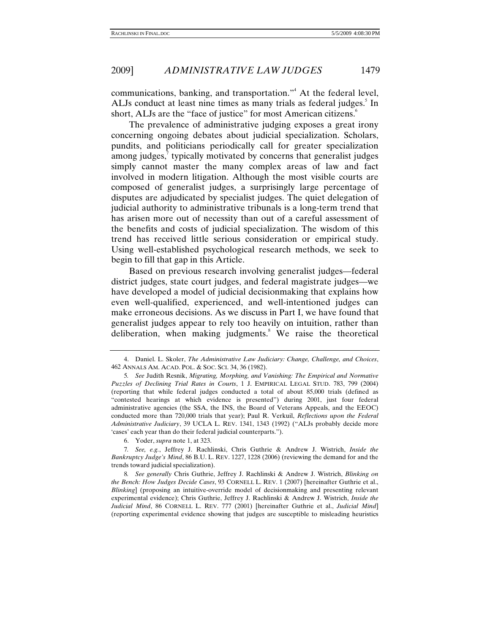communications, banking, and transportation."4 At the federal level, ALJs conduct at least nine times as many trials as federal judges.<sup>5</sup> In short, ALJs are the "face of justice" for most American citizens.<sup>6</sup>

The prevalence of administrative judging exposes a great irony concerning ongoing debates about judicial specialization. Scholars, pundits, and politicians periodically call for greater specialization among judges,<sup>7</sup> typically motivated by concerns that generalist judges simply cannot master the many complex areas of law and fact involved in modern litigation. Although the most visible courts are composed of generalist judges, a surprisingly large percentage of disputes are adjudicated by specialist judges. The quiet delegation of judicial authority to administrative tribunals is a long-term trend that has arisen more out of necessity than out of a careful assessment of the benefits and costs of judicial specialization. The wisdom of this trend has received little serious consideration or empirical study. Using well-established psychological research methods, we seek to begin to fill that gap in this Article.

Based on previous research involving generalist judges—federal district judges, state court judges, and federal magistrate judges—we have developed a model of judicial decisionmaking that explains how even well-qualified, experienced, and well-intentioned judges can make erroneous decisions. As we discuss in Part I, we have found that generalist judges appear to rely too heavily on intuition, rather than deliberation, when making judgments.<sup>8</sup> We raise the theoretical

 <sup>4.</sup> Daniel. L. Skoler, *The Administrative Law Judiciary: Change, Challenge, and Choices*, 462 ANNALS AM. ACAD. POL. & SOC. SCI. 34, 36 (1982).

<sup>5</sup>*. See* Judith Resnik, *Migrating, Morphing, and Vanishing: The Empirical and Normative Puzzles of Declining Trial Rates in Courts*, 1 J. EMPIRICAL LEGAL STUD. 783, 799 (2004) (reporting that while federal judges conducted a total of about 85,000 trials (defined as "contested hearings at which evidence is presented") during 2001, just four federal administrative agencies (the SSA, the INS, the Board of Veterans Appeals, and the EEOC) conducted more than 720,000 trials that year); Paul R. Verkuil, *Reflections upon the Federal Administrative Judiciary*, 39 UCLA L. REV. 1341, 1343 (1992) ("ALJs probably decide more 'cases' each year than do their federal judicial counterparts.").

 <sup>6.</sup> Yoder, *supra* note 1, at 323.

<sup>7</sup>*. See, e.g.*, Jeffrey J. Rachlinski, Chris Guthrie & Andrew J. Wistrich, *Inside the Bankruptcy Judge's Mind*, 86 B.U. L. REV. 1227, 1228 (2006) (reviewing the demand for and the trends toward judicial specialization).

<sup>8</sup>*. See generally* Chris Guthrie, Jeffrey J. Rachlinski & Andrew J. Wistrich, *Blinking on the Bench: How Judges Decide Cases*, 93 CORNELL L. REV. 1 (2007) [hereinafter Guthrie et al., *Blinking*] (proposing an intuitive-override model of decisionmaking and presenting relevant experimental evidence); Chris Guthrie, Jeffrey J. Rachlinski & Andrew J. Wistrich, *Inside the Judicial Mind*, 86 CORNELL L. REV. 777 (2001) [hereinafter Guthrie et al., *Judicial Mind*] (reporting experimental evidence showing that judges are susceptible to misleading heuristics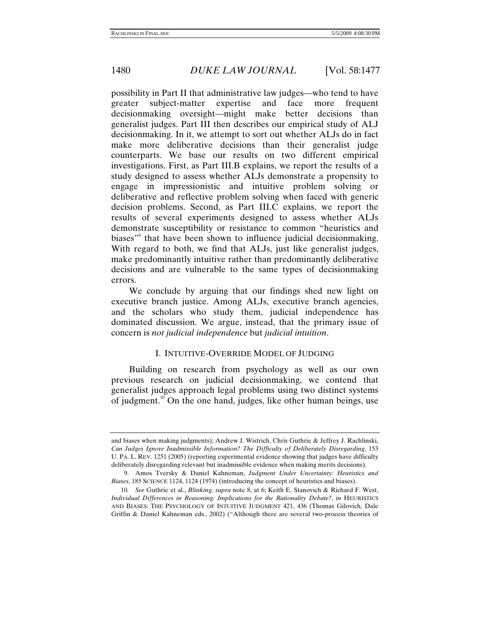possibility in Part II that administrative law judges—who tend to have greater subject-matter expertise and face more frequent decisionmaking oversight—might make better decisions than generalist judges. Part III then describes our empirical study of ALJ decisionmaking. In it, we attempt to sort out whether ALJs do in fact make more deliberative decisions than their generalist judge counterparts. We base our results on two different empirical investigations. First, as Part III.B explains, we report the results of a study designed to assess whether ALJs demonstrate a propensity to engage in impressionistic and intuitive problem solving or deliberative and reflective problem solving when faced with generic decision problems. Second, as Part III.C explains, we report the results of several experiments designed to assess whether ALJs demonstrate susceptibility or resistance to common "heuristics and biases"<sup>9</sup> that have been shown to influence judicial decisionmaking. With regard to both, we find that ALJs, just like generalist judges, make predominantly intuitive rather than predominantly deliberative decisions and are vulnerable to the same types of decisionmaking errors.

We conclude by arguing that our findings shed new light on executive branch justice. Among ALJs, executive branch agencies, and the scholars who study them, judicial independence has dominated discussion. We argue, instead, that the primary issue of concern is *not judicial independence* but *judicial intuition*.

## I. INTUITIVE-OVERRIDE MODEL OF JUDGING

Building on research from psychology as well as our own previous research on judicial decisionmaking, we contend that generalist judges approach legal problems using two distinct systems of judgment.<sup>10</sup> On the one hand, judges, like other human beings, use

and biases when making judgments); Andrew J. Wistrich, Chris Guthrie & Jeffrey J. Rachlinski, *Can Judges Ignore Inadmissible Information? The Difficulty of Deliberately Disregarding*, 153 U. PA. L. REV. 1251 (2005) (reporting experimental evidence showing that judges have difficulty deliberately disregarding relevant but inadmissible evidence when making merits decisions).

 <sup>9.</sup> Amos Tversky & Daniel Kahneman, *Judgment Under Uncertainty: Heuristics and Biases*, 185 SCIENCE 1124, 1124 (1974) (introducing the concept of heuristics and biases).

<sup>10</sup>*. See* Guthrie et al., *Blinking*, *supra* note 8, at 6; Keith E. Stanovich & Richard F. West, *Individual Differences in Reasoning: Implications for the Rationality Debate?*, *in* HEURISTICS AND BIASES: THE PSYCHOLOGY OF INTUITIVE JUDGMENT 421, 436 (Thomas Gilovich, Dale Griffin & Daniel Kahneman eds., 2002) ("Although there are several two-process theories of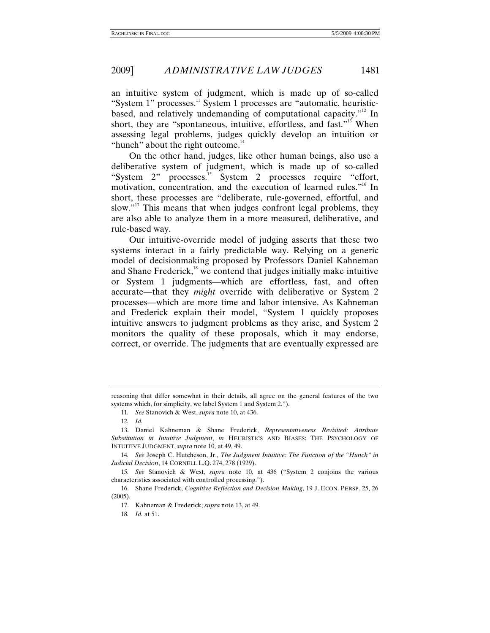an intuitive system of judgment, which is made up of so-called "System 1" processes.<sup>11</sup> System 1 processes are "automatic, heuristicbased, and relatively undemanding of computational capacity. $12^2$  In short, they are "spontaneous, intuitive, effortless, and fast."<sup>13</sup> When assessing legal problems, judges quickly develop an intuition or "hunch" about the right outcome.<sup>14</sup>

On the other hand, judges, like other human beings, also use a deliberative system of judgment, which is made up of so-called "System 2" processes.<sup>15</sup> System 2 processes require "effort, motivation, concentration, and the execution of learned rules."16 In short, these processes are "deliberate, rule-governed, effortful, and slow."<sup>17</sup> This means that when judges confront legal problems, they are also able to analyze them in a more measured, deliberative, and rule-based way.

Our intuitive-override model of judging asserts that these two systems interact in a fairly predictable way. Relying on a generic model of decisionmaking proposed by Professors Daniel Kahneman and Shane Frederick, $18$  we contend that judges initially make intuitive or System 1 judgments—which are effortless, fast, and often accurate—that they *might* override with deliberative or System 2 processes—which are more time and labor intensive. As Kahneman and Frederick explain their model, "System 1 quickly proposes intuitive answers to judgment problems as they arise, and System 2 monitors the quality of these proposals, which it may endorse, correct, or override. The judgments that are eventually expressed are

reasoning that differ somewhat in their details, all agree on the general features of the two systems which, for simplicity, we label System 1 and System 2.").

<sup>11</sup>*. See* Stanovich & West, *supra* note 10, at 436.

<sup>12</sup>*. Id.*

 <sup>13.</sup> Daniel Kahneman & Shane Frederick, *Representativeness Revisited: Attribute Substitution in Intuitive Judgment*, *in* HEURISTICS AND BIASES: THE PSYCHOLOGY OF INTUITIVE JUDGMENT, *supra* note 10, at 49, 49.

<sup>14</sup>*. See* Joseph C. Hutcheson, Jr., *The Judgment Intuitive: The Function of the "Hunch" in Judicial Decision*, 14 CORNELL L.Q. 274, 278 (1929).

<sup>15</sup>*. See* Stanovich & West, *supra* note 10, at 436 ("System 2 conjoins the various characteristics associated with controlled processing.").

 <sup>16.</sup> Shane Frederick, *Cognitive Reflection and Decision Making*, 19 J. ECON. PERSP. 25, 26 (2005).

 <sup>17.</sup> Kahneman & Frederick, *supra* note 13, at 49.

<sup>18</sup>*. Id.* at 51.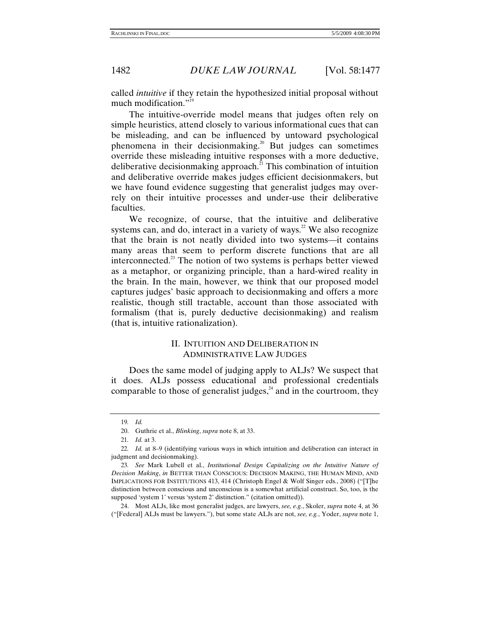called *intuitive* if they retain the hypothesized initial proposal without much modification."<sup>19</sup>

The intuitive-override model means that judges often rely on simple heuristics, attend closely to various informational cues that can be misleading, and can be influenced by untoward psychological phenomena in their decisionmaking.<sup>20</sup> But judges can sometimes override these misleading intuitive responses with a more deductive, deliberative decisionmaking approach.<sup>21</sup> This combination of intuition and deliberative override makes judges efficient decisionmakers, but we have found evidence suggesting that generalist judges may overrely on their intuitive processes and under-use their deliberative faculties.

We recognize, of course, that the intuitive and deliberative systems can, and do, interact in a variety of ways.<sup>22</sup> We also recognize that the brain is not neatly divided into two systems—it contains many areas that seem to perform discrete functions that are all interconnected.<sup>23</sup> The notion of two systems is perhaps better viewed as a metaphor, or organizing principle, than a hard-wired reality in the brain. In the main, however, we think that our proposed model captures judges' basic approach to decisionmaking and offers a more realistic, though still tractable, account than those associated with formalism (that is, purely deductive decisionmaking) and realism (that is, intuitive rationalization).

# II. INTUITION AND DELIBERATION IN ADMINISTRATIVE LAW JUDGES

Does the same model of judging apply to ALJs? We suspect that it does. ALJs possess educational and professional credentials comparable to those of generalist judges, $^{24}$  and in the courtroom, they

<sup>19</sup>*. Id.*

 <sup>20.</sup> Guthrie et al., *Blinking*, *supra* note 8, at 33.

<sup>21</sup>*. Id.* at 3.

<sup>22</sup>*. Id.* at 8–9 (identifying various ways in which intuition and deliberation can interact in judgment and decisionmaking).

<sup>23</sup>*. See* Mark Lubell et al., *Institutional Design Capitalizing on the Intuitive Nature of Decision Making*, *in* BETTER THAN CONSCIOUS: DECISION MAKING, THE HUMAN MIND, AND IMPLICATIONS FOR INSTITUTIONS 413, 414 (Christoph Engel & Wolf Singer eds., 2008) ("[T]he distinction between conscious and unconscious is a somewhat artificial construct. So, too, is the supposed 'system 1' versus 'system 2' distinction." (citation omitted)).

 <sup>24.</sup> Most ALJs, like most generalist judges, are lawyers, *see, e.g.*, Skoler, *supra* note 4, at 36 ("[Federal] ALJs must be lawyers."), but some state ALJs are not, *see, e.g.*, Yoder, *supra* note 1,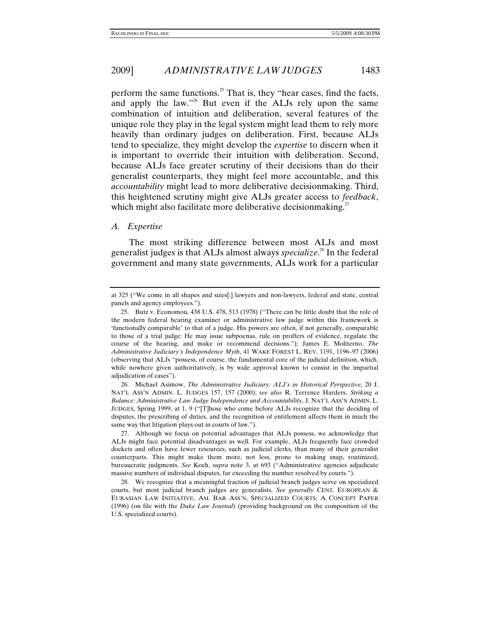perform the same functions.<sup>25</sup> That is, they "hear cases, find the facts, and apply the law."<sup>26</sup> But even if the ALJs rely upon the same combination of intuition and deliberation, several features of the unique role they play in the legal system might lead them to rely more heavily than ordinary judges on deliberation. First, because ALJs tend to specialize, they might develop the *expertise* to discern when it is important to override their intuition with deliberation. Second, because ALJs face greater scrutiny of their decisions than do their generalist counterparts, they might feel more accountable, and this *accountability* might lead to more deliberative decisionmaking. Third, this heightened scrutiny might give ALJs greater access to *feedback*, which might also facilitate more deliberative decision making.<sup>27</sup>

## *A. Expertise*

The most striking difference between most ALJs and most generalist judges is that ALJs almost always *specialize*. 28 In the federal government and many state governments, ALJs work for a particular

 26. Michael Asimow, *The Administrative Judiciary: ALJ's in Historical Perspective*, 20 J. NAT'L ASS'N ADMIN. L. JUDGES 157, 157 (2000); *see also* R. Terrence Harders, *Striking a Balance: Administrative Law Judge Independence and Accountability*, J. NAT'L ASS'N ADMIN. L. JUDGES, Spring 1999, at 1, 9 ("[T]hose who come before ALJs recognize that the deciding of disputes, the prescribing of duties, and the recognition of entitlement affects them in much the same way that litigation plays out in courts of law.").

 27. Although we focus on potential advantages that ALJs possess, we acknowledge that ALJs might face potential disadvantages as well. For example, ALJs frequently face crowded dockets and often have fewer resources, such as judicial clerks, than many of their generalist counterparts. This might make them more, not less, prone to making snap, routinized, bureaucratic judgments. *See* Koch, *supra* note 3, at 693 ("Administrative agencies adjudicate massive numbers of individual disputes, far exceeding the number resolved by courts.").

 28. We recognize that a meaningful fraction of judicial branch judges serve on specialized courts, but most judicial branch judges are generalists. *See generally* CENT. EUROPEAN & EURASIAN LAW INITIATIVE, AM. BAR ASS'N, SPECIALIZED COURTS: A CONCEPT PAPER (1996) (on file with the *Duke Law Journal*) (providing background on the composition of the U.S. specialized courts).

at 325 ("We come in all shapes and sizes[:] lawyers and non-lawyers, federal and state, central panels and agency employees.").

 <sup>25.</sup> Butz v. Economou, 438 U.S. 478, 513 (1978) ("There can be little doubt that the role of the modern federal hearing examiner or administrative law judge within this framework is 'functionally comparable' to that of a judge. His powers are often, if not generally, comparable to those of a trial judge: He may issue subpoenas, rule on proffers of evidence, regulate the course of the hearing, and make or recommend decisions."); James E. Moliterno, *The Administrative Judiciary's Independence Myth*, 41 WAKE FOREST L. REV. 1191, 1196–97 (2006) (observing that ALJs "possess, of course, the fundamental core of the judicial definition, which, while nowhere given authoritatively, is by wide approval known to consist in the impartial adjudication of cases").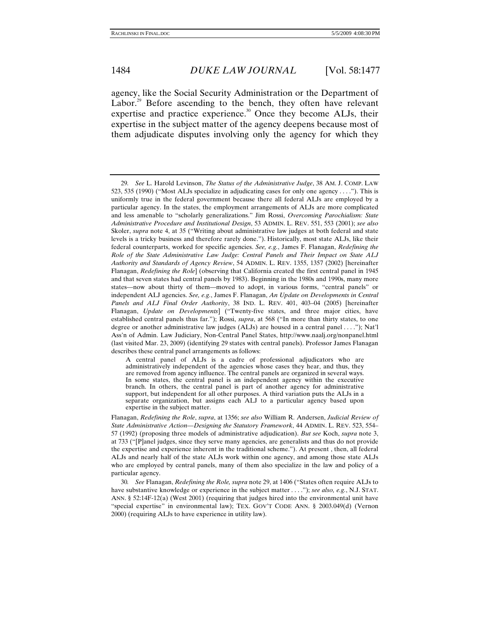agency, like the Social Security Administration or the Department of Labor.<sup>29</sup> Before ascending to the bench, they often have relevant expertise and practice experience.<sup>30</sup> Once they become ALJs, their expertise in the subject matter of the agency deepens because most of them adjudicate disputes involving only the agency for which they

A central panel of ALJs is a cadre of professional adjudicators who are administratively independent of the agencies whose cases they hear, and thus, they are removed from agency influence. The central panels are organized in several ways. In some states, the central panel is an independent agency within the executive branch. In others, the central panel is part of another agency for administrative support, but independent for all other purposes. A third variation puts the ALJs in a separate organization, but assigns each ALJ to a particular agency based upon expertise in the subject matter.

Flanagan, *Redefining the Role*, *supra*, at 1356; *see also* William R. Andersen, *Judicial Review of State Administrative Action—Designing the Statutory Framework*, 44 ADMIN. L. REV. 523, 554– 57 (1992) (proposing three models of administrative adjudication). *But see* Koch, *supra* note 3, at 733 ("[P]anel judges, since they serve many agencies, are generalists and thus do not provide the expertise and experience inherent in the traditional scheme."). At present , then, all federal ALJs and nearly half of the state ALJs work within one agency, and among those state ALJs who are employed by central panels, many of them also specialize in the law and policy of a particular agency.

30*. See* Flanagan, *Redefining the Role, supra* note 29, at 1406 ("States often require ALJs to have substantive knowledge or experience in the subject matter . . . ."); *see also, e.g.*, N.J. STAT. ANN. § 52:14F-12(a) (West 2001) (requiring that judges hired into the environmental unit have "special expertise" in environmental law); TEX. GOV'T CODE ANN. § 2003.049(d) (Vernon 2000) (requiring ALJs to have experience in utility law).

<sup>29</sup>*. See* L. Harold Levinson, *The Status of the Administrative Judge*, 38 AM. J. COMP. LAW 523, 535 (1990) ("Most ALJs specialize in adjudicating cases for only one agency . . . ."). This is uniformly true in the federal government because there all federal ALJs are employed by a particular agency. In the states, the employment arrangements of ALJs are more complicated and less amenable to "scholarly generalizations." Jim Rossi, *Overcoming Parochialism: State Administrative Procedure and Institutional Design*, 53 ADMIN. L. REV. 551, 553 (2001); *see also* Skoler, *supra* note 4, at 35 ("Writing about administrative law judges at both federal and state levels is a tricky business and therefore rarely done."). Historically, most state ALJs, like their federal counterparts, worked for specific agencies. *See, e.g.*, James F. Flanagan, *Redefining the Role of the State Administrative Law Judge: Central Panels and Their Impact on State ALJ Authority and Standards of Agency Review*, 54 ADMIN. L. REV. 1355, 1357 (2002) [hereinafter Flanagan, *Redefining the Role*] (observing that California created the first central panel in 1945 and that seven states had central panels by 1983). Beginning in the 1980s and 1990s, many more states—now about thirty of them—moved to adopt, in various forms, "central panels" or independent ALJ agencies. *See, e.g.*, James F. Flanagan, *An Update on Developments in Central Panels and ALJ Final Order Authority*, 38 IND. L. REV. 401, 403–04 (2005) [hereinafter Flanagan, *Update on Developments*] ("Twenty-five states, and three major cities, have established central panels thus far."); Rossi, *supra*, at 568 ("In more than thirty states, to one degree or another administrative law judges (ALJs) are housed in a central panel . . . ."); Nat'l Ass'n of Admin. Law Judiciary, Non-Central Panel States, http://www.naalj.org/nonpanel.html (last visited Mar. 23, 2009) (identifying 29 states with central panels). Professor James Flanagan describes these central panel arrangements as follows: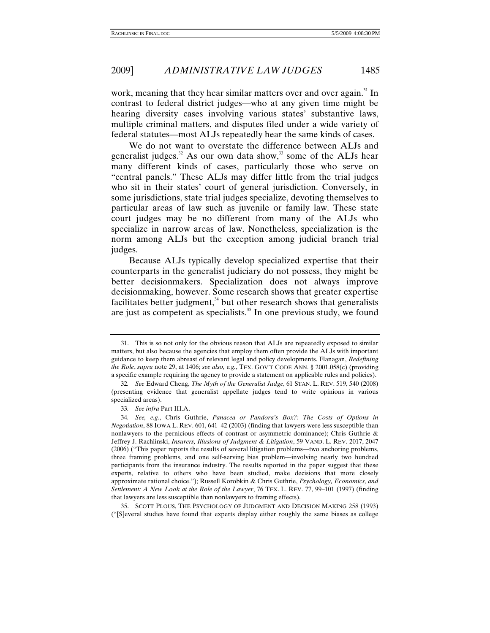work, meaning that they hear similar matters over and over again.<sup>31</sup> In contrast to federal district judges—who at any given time might be hearing diversity cases involving various states' substantive laws, multiple criminal matters, and disputes filed under a wide variety of federal statutes—most ALJs repeatedly hear the same kinds of cases.

We do not want to overstate the difference between ALJs and generalist judges. $32$  As our own data show, $33$  some of the ALJs hear many different kinds of cases, particularly those who serve on "central panels." These ALJs may differ little from the trial judges who sit in their states' court of general jurisdiction. Conversely, in some jurisdictions, state trial judges specialize, devoting themselves to particular areas of law such as juvenile or family law. These state court judges may be no different from many of the ALJs who specialize in narrow areas of law. Nonetheless, specialization is the norm among ALJs but the exception among judicial branch trial judges.

Because ALJs typically develop specialized expertise that their counterparts in the generalist judiciary do not possess, they might be better decisionmakers. Specialization does not always improve decisionmaking, however. Some research shows that greater expertise facilitates better judgment, $34$  but other research shows that generalists are just as competent as specialists.<sup>35</sup> In one previous study, we found

 35. SCOTT PLOUS, THE PSYCHOLOGY OF JUDGMENT AND DECISION MAKING 258 (1993) ("[S]everal studies have found that experts display either roughly the same biases as college

 <sup>31.</sup> This is so not only for the obvious reason that ALJs are repeatedly exposed to similar matters, but also because the agencies that employ them often provide the ALJs with important guidance to keep them abreast of relevant legal and policy developments. Flanagan, *Redefining the Role*, *supra* note 29, at 1406; *see also, e.g.*, TEX. GOV'T CODE ANN. § 2001.058(c) (providing a specific example requiring the agency to provide a statement on applicable rules and policies).

<sup>32</sup>*. See* Edward Cheng, *The Myth of the Generalist Judge*, 61 STAN. L. REV. 519, 540 (2008) (presenting evidence that generalist appellate judges tend to write opinions in various specialized areas).

<sup>33</sup>*. See infra* Part III.A.

<sup>34</sup>*. See, e.g.*, Chris Guthrie, *Panacea or Pandora's Box?: The Costs of Options in Negotiation*, 88 IOWA L. REV. 601, 641–42 (2003) (finding that lawyers were less susceptible than nonlawyers to the pernicious effects of contrast or asymmetric dominance); Chris Guthrie & Jeffrey J. Rachlinski, *Insurers, Illusions of Judgment & Litigation*, 59 VAND. L. REV. 2017, 2047 (2006) ("This paper reports the results of several litigation problems—two anchoring problems, three framing problems, and one self-serving bias problem—involving nearly two hundred participants from the insurance industry. The results reported in the paper suggest that these experts, relative to others who have been studied, make decisions that more closely approximate rational choice."); Russell Korobkin & Chris Guthrie, *Psychology, Economics, and Settlement: A New Look at the Role of the Lawyer*, 76 TEX. L. REV. 77, 99–101 (1997) (finding that lawyers are less susceptible than nonlawyers to framing effects).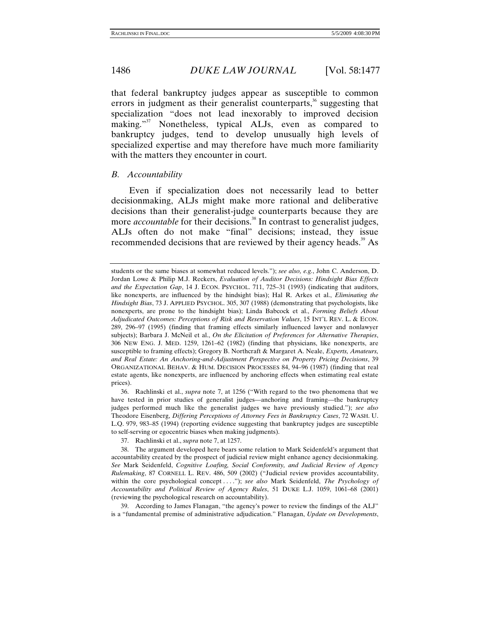that federal bankruptcy judges appear as susceptible to common errors in judgment as their generalist counterparts,<sup>36</sup> suggesting that specialization "does not lead inexorably to improved decision making."<sup>37</sup> Nonetheless, typical ALJs, even as compared to bankruptcy judges, tend to develop unusually high levels of specialized expertise and may therefore have much more familiarity with the matters they encounter in court.

*B. Accountability* 

Even if specialization does not necessarily lead to better decisionmaking, ALJs might make more rational and deliberative decisions than their generalist-judge counterparts because they are more *accountable* for their decisions.<sup>38</sup> In contrast to generalist judges, ALJs often do not make "final" decisions; instead, they issue recommended decisions that are reviewed by their agency heads.<sup>39</sup> As

students or the same biases at somewhat reduced levels."); *see also, e.g.*, John C. Anderson, D. Jordan Lowe & Philip M.J. Reckers, *Evaluation of Auditor Decisions: Hindsight Bias Effects and the Expectation Gap*, 14 J. ECON. PSYCHOL. 711, 725–31 (1993) (indicating that auditors, like nonexperts, are influenced by the hindsight bias); Hal R. Arkes et al., *Eliminating the Hindsight Bias*, 73 J. APPLIED PSYCHOL. 305, 307 (1988) (demonstrating that psychologists, like nonexperts, are prone to the hindsight bias); Linda Babcock et al., *Forming Beliefs About Adjudicated Outcomes: Perceptions of Risk and Reservation Values*, 15 INT'L REV. L. & ECON. 289, 296–97 (1995) (finding that framing effects similarly influenced lawyer and nonlawyer subjects); Barbara J. McNeil et al., *On the Elicitation of Preferences for Alternative Therapies*, 306 NEW ENG. J. MED. 1259, 1261–62 (1982) (finding that physicians, like nonexperts, are susceptible to framing effects); Gregory B. Northcraft & Margaret A. Neale, *Experts, Amateurs, and Real Estate: An Anchoring-and-Adjustment Perspective on Property Pricing Decisions*, 39 ORGANIZATIONAL BEHAV. & HUM. DECISION PROCESSES 84, 94–96 (1987) (finding that real estate agents, like nonexperts, are influenced by anchoring effects when estimating real estate prices).

 <sup>36.</sup> Rachlinski et al., *supra* note 7, at 1256 ("With regard to the two phenomena that we have tested in prior studies of generalist judges—anchoring and framing—the bankruptcy judges performed much like the generalist judges we have previously studied."); *see also* Theodore Eisenberg, *Differing Perceptions of Attorney Fees in Bankruptcy Cases*, 72 WASH. U. L.Q. 979, 983–85 (1994) (reporting evidence suggesting that bankruptcy judges are susceptible to self-serving or egocentric biases when making judgments).

 <sup>37.</sup> Rachlinski et al., *supra* note 7, at 1257.

 <sup>38.</sup> The argument developed here bears some relation to Mark Seidenfeld's argument that accountability created by the prospect of judicial review might enhance agency decisionmaking. *See* Mark Seidenfeld, *Cognitive Loafing, Social Conformity, and Judicial Review of Agency Rulemaking*, 87 CORNELL L. REV. 486, 509 (2002) ("Judicial review provides accountability, within the core psychological concept . . . ."); *see also* Mark Seidenfeld, *The Psychology of Accountability and Political Review of Agency Rules*, 51 DUKE L.J. 1059, 1061–68 (2001) (reviewing the psychological research on accountability).

 <sup>39.</sup> According to James Flanagan, "the agency's power to review the findings of the ALJ" is a "fundamental premise of administrative adjudication." Flanagan, *Update on Developments*,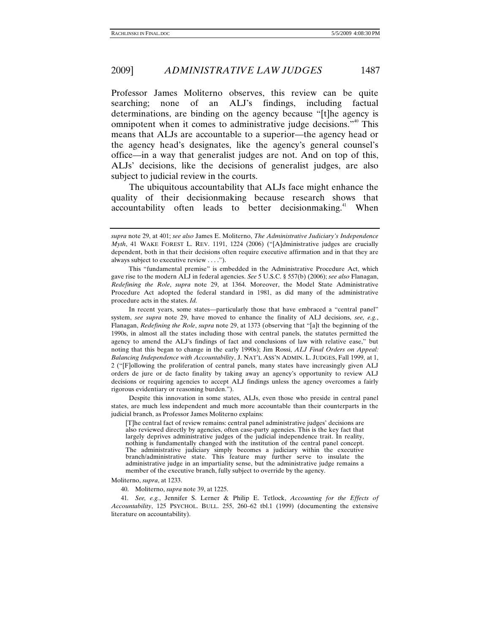Professor James Moliterno observes, this review can be quite searching; none of an ALJ's findings, including factual determinations, are binding on the agency because "[t]he agency is omnipotent when it comes to administrative judge decisions."<sup>40</sup> This means that ALJs are accountable to a superior—the agency head or the agency head's designates, like the agency's general counsel's office—in a way that generalist judges are not. And on top of this, ALJs' decisions, like the decisions of generalist judges, are also subject to judicial review in the courts.

The ubiquitous accountability that ALJs face might enhance the quality of their decisionmaking because research shows that  $accountability$  often leads to better decision making.<sup>41</sup> When

In recent years, some states—particularly those that have embraced a "central panel" system, *see supra* note 29, have moved to enhance the finality of ALJ decisions, *see, e.g.*, Flanagan, *Redefining the Role*, *supra* note 29, at 1373 (observing that "[a]t the beginning of the 1990s, in almost all the states including those with central panels, the statutes permitted the agency to amend the ALJ's findings of fact and conclusions of law with relative ease," but noting that this began to change in the early 1990s); Jim Rossi, *ALJ Final Orders on Appeal: Balancing Independence with Accountability*, J. NAT'L ASS'N ADMIN. L. JUDGES, Fall 1999, at 1, 2 ("[F]ollowing the proliferation of central panels, many states have increasingly given ALJ orders de jure or de facto finality by taking away an agency's opportunity to review ALJ decisions or requiring agencies to accept ALJ findings unless the agency overcomes a fairly rigorous evidentiary or reasoning burden.").

Despite this innovation in some states, ALJs, even those who preside in central panel states, are much less independent and much more accountable than their counterparts in the judicial branch, as Professor James Moliterno explains:

[T]he central fact of review remains: central panel administrative judges' decisions are also reviewed directly by agencies, often case-party agencies. This is the key fact that largely deprives administrative judges of the judicial independence trait. In reality, nothing is fundamentally changed with the institution of the central panel concept. The administrative judiciary simply becomes a judiciary within the executive branch/administrative state. This feature may further serve to insulate the administrative judge in an impartiality sense, but the administrative judge remains a member of the executive branch, fully subject to override by the agency.

Moliterno, *supra*, at 1233.

40. Moliterno, *supra* note 39, at 1225.

41*. See, e.g.*, Jennifer S. Lerner & Philip E. Tetlock, *Accounting for the Effects of Accountability*, 125 PSYCHOL. BULL. 255, 260–62 tbl.1 (1999) (documenting the extensive literature on accountability).

*supra* note 29, at 401; *see also* James E. Moliterno, *The Administrative Judiciary's Independence Myth*, 41 WAKE FOREST L. REV. 1191, 1224 (2006) ("[A]dministrative judges are crucially dependent, both in that their decisions often require executive affirmation and in that they are always subject to executive review . . . .").

This "fundamental premise" is embedded in the Administrative Procedure Act, which gave rise to the modern ALJ in federal agencies. *See* 5 U.S.C. § 557(b) (2006); *see also* Flanagan, *Redefining the Role*, *supra* note 29, at 1364. Moreover, the Model State Administrative Procedure Act adopted the federal standard in 1981, as did many of the administrative procedure acts in the states. *Id.*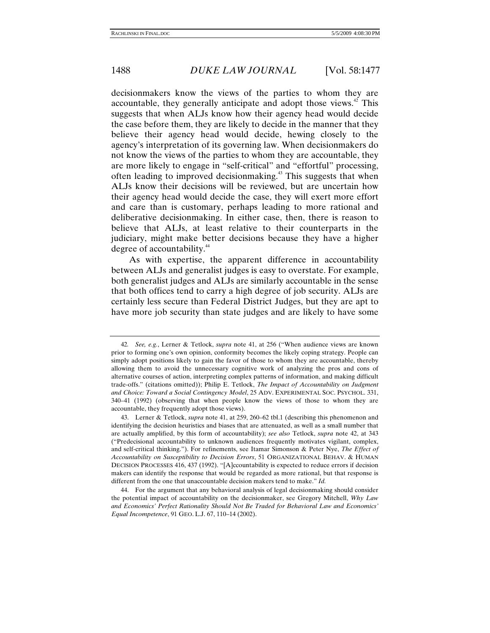decisionmakers know the views of the parties to whom they are accountable, they generally anticipate and adopt those views. $42$  This suggests that when ALJs know how their agency head would decide the case before them, they are likely to decide in the manner that they believe their agency head would decide, hewing closely to the agency's interpretation of its governing law. When decisionmakers do not know the views of the parties to whom they are accountable, they are more likely to engage in "self-critical" and "effortful" processing, often leading to improved decisionmaking.43 This suggests that when ALJs know their decisions will be reviewed, but are uncertain how their agency head would decide the case, they will exert more effort and care than is customary, perhaps leading to more rational and deliberative decisionmaking. In either case, then, there is reason to believe that ALJs, at least relative to their counterparts in the judiciary, might make better decisions because they have a higher degree of accountability.<sup>44</sup>

As with expertise, the apparent difference in accountability between ALJs and generalist judges is easy to overstate. For example, both generalist judges and ALJs are similarly accountable in the sense that both offices tend to carry a high degree of job security. ALJs are certainly less secure than Federal District Judges, but they are apt to have more job security than state judges and are likely to have some

<sup>42</sup>*. See, e.g.*, Lerner & Tetlock, *supra* note 41, at 256 ("When audience views are known prior to forming one's own opinion, conformity becomes the likely coping strategy. People can simply adopt positions likely to gain the favor of those to whom they are accountable, thereby allowing them to avoid the unnecessary cognitive work of analyzing the pros and cons of alternative courses of action, interpreting complex patterns of information, and making difficult trade-offs." (citations omitted)); Philip E. Tetlock, *The Impact of Accountability on Judgment and Choice: Toward a Social Contingency Model*, 25 ADV. EXPERIMENTAL SOC. PSYCHOL. 331, 340–41 (1992) (observing that when people know the views of those to whom they are accountable, they frequently adopt those views).

 <sup>43.</sup> Lerner & Tetlock, *supra* note 41, at 259, 260–62 tbl.1 (describing this phenomenon and identifying the decision heuristics and biases that are attenuated, as well as a small number that are actually amplified, by this form of accountability); *see also* Tetlock, *supra* note 42, at 343 ("Predecisional accountability to unknown audiences frequently motivates vigilant, complex, and self-critical thinking."). For refinements, see Itamar Simonson & Peter Nye, *The Effect of Accountability on Susceptibility to Decision Errors*, 51 ORGANIZATIONAL BEHAV. & HUMAN DECISION PROCESSES 416, 437 (1992). "[A]ccountability is expected to reduce errors if decision makers can identify the response that would be regarded as more rational, but that response is different from the one that unaccountable decision makers tend to make." *Id.*

 <sup>44.</sup> For the argument that any behavioral analysis of legal decisionmaking should consider the potential impact of accountability on the decisionmaker, see Gregory Mitchell, *Why Law and Economics' Perfect Rationality Should Not Be Traded for Behavioral Law and Economics' Equal Incompetence*, 91 GEO. L.J. 67, 110–14 (2002).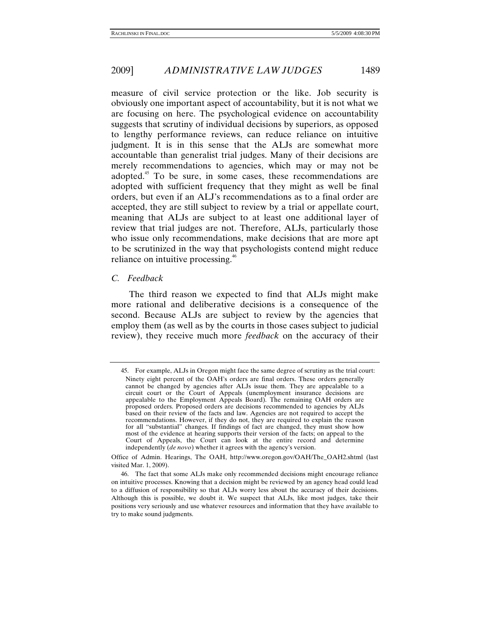measure of civil service protection or the like. Job security is obviously one important aspect of accountability, but it is not what we are focusing on here. The psychological evidence on accountability suggests that scrutiny of individual decisions by superiors, as opposed to lengthy performance reviews, can reduce reliance on intuitive judgment. It is in this sense that the ALJs are somewhat more accountable than generalist trial judges. Many of their decisions are merely recommendations to agencies, which may or may not be adopted.<sup>45</sup> To be sure, in some cases, these recommendations are adopted with sufficient frequency that they might as well be final orders, but even if an ALJ's recommendations as to a final order are accepted, they are still subject to review by a trial or appellate court, meaning that ALJs are subject to at least one additional layer of review that trial judges are not. Therefore, ALJs, particularly those who issue only recommendations, make decisions that are more apt to be scrutinized in the way that psychologists contend might reduce reliance on intuitive processing.<sup>46</sup>

## *C. Feedback*

The third reason we expected to find that ALJs might make more rational and deliberative decisions is a consequence of the second. Because ALJs are subject to review by the agencies that employ them (as well as by the courts in those cases subject to judicial review), they receive much more *feedback* on the accuracy of their

 <sup>45.</sup> For example, ALJs in Oregon might face the same degree of scrutiny as the trial court: Ninety eight percent of the OAH's orders are final orders. These orders generally cannot be changed by agencies after ALJs issue them. They are appealable to a circuit court or the Court of Appeals (unemployment insurance decisions are appealable to the Employment Appeals Board). The remaining OAH orders are proposed orders. Proposed orders are decisions recommended to agencies by ALJs based on their review of the facts and law. Agencies are not required to accept the recommendations. However, if they do not, they are required to explain the reason for all "substantial" changes. If findings of fact are changed, they must show how most of the evidence at hearing supports their version of the facts; on appeal to the Court of Appeals, the Court can look at the entire record and determine independently (*de novo*) whether it agrees with the agency's version.

Office of Admin. Hearings, The OAH, http://www.oregon.gov/OAH/The\_OAH2.shtml (last visited Mar. 1, 2009).

 <sup>46.</sup> The fact that some ALJs make only recommended decisions might encourage reliance on intuitive processes. Knowing that a decision might be reviewed by an agency head could lead to a diffusion of responsibility so that ALJs worry less about the accuracy of their decisions. Although this is possible, we doubt it. We suspect that ALJs, like most judges, take their positions very seriously and use whatever resources and information that they have available to try to make sound judgments.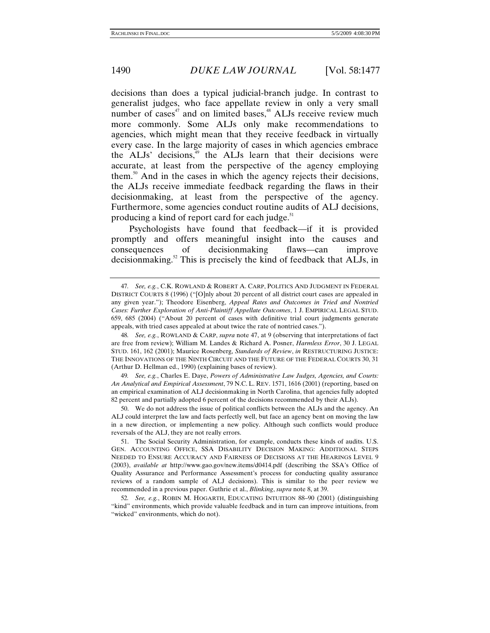decisions than does a typical judicial-branch judge. In contrast to generalist judges, who face appellate review in only a very small number of cases<sup>47</sup> and on limited bases,<sup>48</sup> ALJs receive review much more commonly. Some ALJs only make recommendations to agencies, which might mean that they receive feedback in virtually every case. In the large majority of cases in which agencies embrace the ALJs' decisions, $49$  the ALJs learn that their decisions were accurate, at least from the perspective of the agency employing them.50 And in the cases in which the agency rejects their decisions, the ALJs receive immediate feedback regarding the flaws in their decisionmaking, at least from the perspective of the agency. Furthermore, some agencies conduct routine audits of ALJ decisions, producing a kind of report card for each judge.<sup>51</sup>

Psychologists have found that feedback—if it is provided promptly and offers meaningful insight into the causes and consequences of decisionmaking flaws—can improve decisionmaking.<sup>52</sup> This is precisely the kind of feedback that ALJs, in

49*. See, e.g.*, Charles E. Daye, *Powers of Administrative Law Judges, Agencies, and Courts: An Analytical and Empirical Assessment*, 79 N.C. L. REV. 1571, 1616 (2001) (reporting, based on an empirical examination of ALJ decisionmaking in North Carolina, that agencies fully adopted 82 percent and partially adopted 6 percent of the decisions recommended by their ALJs).

 50. We do not address the issue of political conflicts between the ALJs and the agency. An ALJ could interpret the law and facts perfectly well, but face an agency bent on moving the law in a new direction, or implementing a new policy. Although such conflicts would produce reversals of the ALJ, they are not really errors.

 51. The Social Security Administration, for example, conducts these kinds of audits. U.S. GEN. ACCOUNTING OFFICE, SSA DISABILITY DECISION MAKING: ADDITIONAL STEPS NEEDED TO ENSURE ACCURACY AND FAIRNESS OF DECISIONS AT THE HEARINGS LEVEL 9 (2003), *available at* http://www.gao.gov/new.items/d0414.pdf (describing the SSA's Office of Quality Assurance and Performance Assessment's process for conducting quality assurance reviews of a random sample of ALJ decisions). This is similar to the peer review we recommended in a previous paper. Guthrie et al., *Blinking*, *supra* note 8, at 39.

52*. See, e.g.*, ROBIN M. HOGARTH, EDUCATING INTUITION 88–90 (2001) (distinguishing "kind" environments, which provide valuable feedback and in turn can improve intuitions, from "wicked" environments, which do not).

<sup>47</sup>*. See, e.g.*, C.K. ROWLAND & ROBERT A. CARP, POLITICS AND JUDGMENT IN FEDERAL DISTRICT COURTS 8 (1996) ("[O]nly about 20 percent of all district court cases are appealed in any given year."); Theodore Eisenberg, *Appeal Rates and Outcomes in Tried and Nontried Cases: Further Exploration of Anti-Plaintiff Appellate Outcomes*, 1 J. EMPIRICAL LEGAL STUD. 659, 685 (2004) ("About 20 percent of cases with definitive trial court judgments generate appeals, with tried cases appealed at about twice the rate of nontried cases.").

<sup>48</sup>*. See, e.g.*, ROWLAND & CARP, *supra* note 47, at 9 (observing that interpretations of fact are free from review); William M. Landes & Richard A. Posner, *Harmless Error*, 30 J. LEGAL STUD. 161, 162 (2001); Maurice Rosenberg, *Standards of Review*, *in* RESTRUCTURING JUSTICE: THE INNOVATIONS OF THE NINTH CIRCUIT AND THE FUTURE OF THE FEDERAL COURTS 30, 31 (Arthur D. Hellman ed., 1990) (explaining bases of review).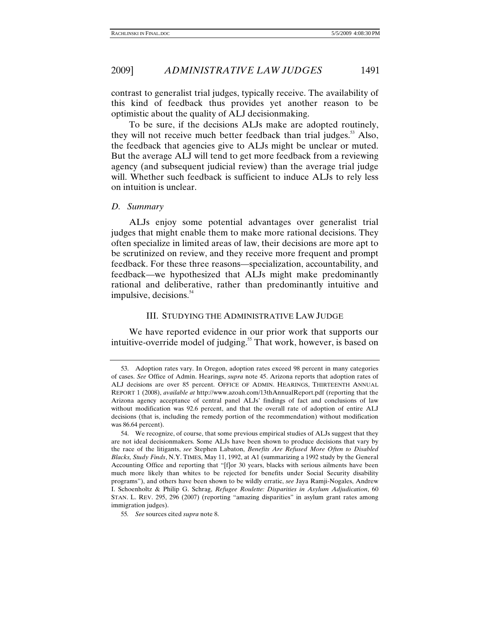contrast to generalist trial judges, typically receive. The availability of this kind of feedback thus provides yet another reason to be optimistic about the quality of ALJ decisionmaking.

To be sure, if the decisions ALJs make are adopted routinely, they will not receive much better feedback than trial judges.<sup>53</sup> Also, the feedback that agencies give to ALJs might be unclear or muted. But the average ALJ will tend to get more feedback from a reviewing agency (and subsequent judicial review) than the average trial judge will. Whether such feedback is sufficient to induce ALJs to rely less on intuition is unclear.

## *D. Summary*

ALJs enjoy some potential advantages over generalist trial judges that might enable them to make more rational decisions. They often specialize in limited areas of law, their decisions are more apt to be scrutinized on review, and they receive more frequent and prompt feedback. For these three reasons—specialization, accountability, and feedback—we hypothesized that ALJs might make predominantly rational and deliberative, rather than predominantly intuitive and impulsive, decisions. $54$ 

# III. STUDYING THE ADMINISTRATIVE LAW JUDGE

We have reported evidence in our prior work that supports our intuitive-override model of judging.<sup>55</sup> That work, however, is based on

 <sup>53.</sup> Adoption rates vary. In Oregon, adoption rates exceed 98 percent in many categories of cases. *See* Office of Admin. Hearings, *supra* note 45. Arizona reports that adoption rates of ALJ decisions are over 85 percent. OFFICE OF ADMIN. HEARINGS, THIRTEENTH ANNUAL REPORT 1 (2008), *available at* http://www.azoah.com/13thAnnualReport.pdf (reporting that the Arizona agency acceptance of central panel ALJs' findings of fact and conclusions of law without modification was 92.6 percent, and that the overall rate of adoption of entire ALJ decisions (that is, including the remedy portion of the recommendation) without modification was 86.64 percent).

 <sup>54.</sup> We recognize, of course, that some previous empirical studies of ALJs suggest that they are not ideal decisionmakers. Some ALJs have been shown to produce decisions that vary by the race of the litigants, *see* Stephen Labaton, *Benefits Are Refused More Often to Disabled Blacks, Study Finds*, N.Y. TIMES, May 11, 1992, at A1 (summarizing a 1992 study by the General Accounting Office and reporting that "[f]or 30 years, blacks with serious ailments have been much more likely than whites to be rejected for benefits under Social Security disability programs"), and others have been shown to be wildly erratic, *see* Jaya Ramji-Nogales, Andrew I. Schoenholtz & Philip G. Schrag, *Refugee Roulette: Disparities in Asylum Adjudication*, 60 STAN. L. REV. 295, 296 (2007) (reporting "amazing disparities" in asylum grant rates among immigration judges).

<sup>55</sup>*. See* sources cited *supra* note 8.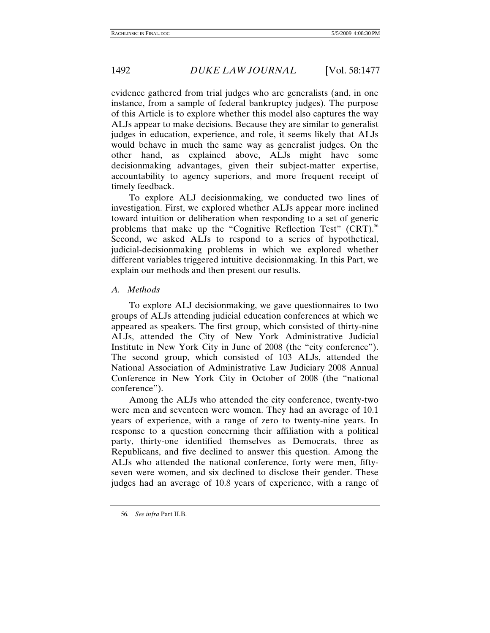evidence gathered from trial judges who are generalists (and, in one instance, from a sample of federal bankruptcy judges). The purpose of this Article is to explore whether this model also captures the way ALJs appear to make decisions. Because they are similar to generalist judges in education, experience, and role, it seems likely that ALJs would behave in much the same way as generalist judges. On the other hand, as explained above, ALJs might have some decisionmaking advantages, given their subject-matter expertise, accountability to agency superiors, and more frequent receipt of timely feedback.

To explore ALJ decisionmaking, we conducted two lines of investigation. First, we explored whether ALJs appear more inclined toward intuition or deliberation when responding to a set of generic problems that make up the "Cognitive Reflection Test"  $(CRT)$ ." Second, we asked ALJs to respond to a series of hypothetical, judicial-decisionmaking problems in which we explored whether different variables triggered intuitive decisionmaking. In this Part, we explain our methods and then present our results.

# *A. Methods*

To explore ALJ decisionmaking, we gave questionnaires to two groups of ALJs attending judicial education conferences at which we appeared as speakers. The first group, which consisted of thirty-nine ALJs, attended the City of New York Administrative Judicial Institute in New York City in June of 2008 (the "city conference"). The second group, which consisted of 103 ALJs, attended the National Association of Administrative Law Judiciary 2008 Annual Conference in New York City in October of 2008 (the "national conference").

Among the ALJs who attended the city conference, twenty-two were men and seventeen were women. They had an average of 10.1 years of experience, with a range of zero to twenty-nine years. In response to a question concerning their affiliation with a political party, thirty-one identified themselves as Democrats, three as Republicans, and five declined to answer this question. Among the ALJs who attended the national conference, forty were men, fiftyseven were women, and six declined to disclose their gender. These judges had an average of 10.8 years of experience, with a range of

<sup>56</sup>*. See infra* Part II.B.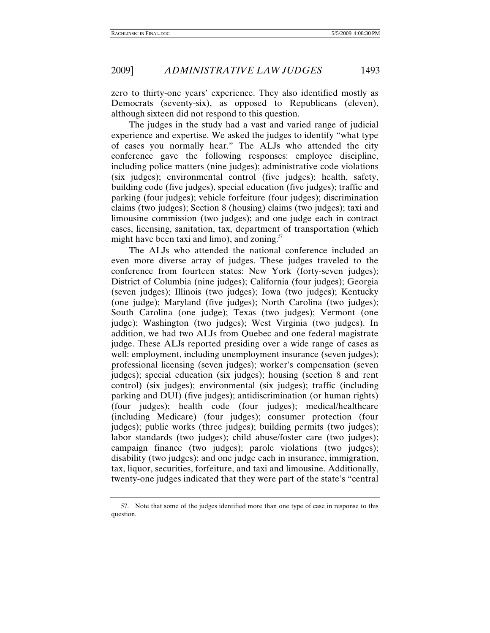zero to thirty-one years' experience. They also identified mostly as Democrats (seventy-six), as opposed to Republicans (eleven), although sixteen did not respond to this question.

The judges in the study had a vast and varied range of judicial experience and expertise. We asked the judges to identify "what type of cases you normally hear." The ALJs who attended the city conference gave the following responses: employee discipline, including police matters (nine judges); administrative code violations (six judges); environmental control (five judges); health, safety, building code (five judges), special education (five judges); traffic and parking (four judges); vehicle forfeiture (four judges); discrimination claims (two judges); Section 8 (housing) claims (two judges); taxi and limousine commission (two judges); and one judge each in contract cases, licensing, sanitation, tax, department of transportation (which might have been taxi and limo), and zoning. $57$ 

The ALJs who attended the national conference included an even more diverse array of judges. These judges traveled to the conference from fourteen states: New York (forty-seven judges); District of Columbia (nine judges); California (four judges); Georgia (seven judges); Illinois (two judges); Iowa (two judges); Kentucky (one judge); Maryland (five judges); North Carolina (two judges); South Carolina (one judge); Texas (two judges); Vermont (one judge); Washington (two judges); West Virginia (two judges). In addition, we had two ALJs from Quebec and one federal magistrate judge. These ALJs reported presiding over a wide range of cases as well: employment, including unemployment insurance (seven judges); professional licensing (seven judges); worker's compensation (seven judges); special education (six judges); housing (section 8 and rent control) (six judges); environmental (six judges); traffic (including parking and DUI) (five judges); antidiscrimination (or human rights) (four judges); health code (four judges); medical/healthcare (including Medicare) (four judges); consumer protection (four judges); public works (three judges); building permits (two judges); labor standards (two judges); child abuse/foster care (two judges); campaign finance (two judges); parole violations (two judges); disability (two judges); and one judge each in insurance, immigration, tax, liquor, securities, forfeiture, and taxi and limousine. Additionally, twenty-one judges indicated that they were part of the state's "central

 <sup>57.</sup> Note that some of the judges identified more than one type of case in response to this question.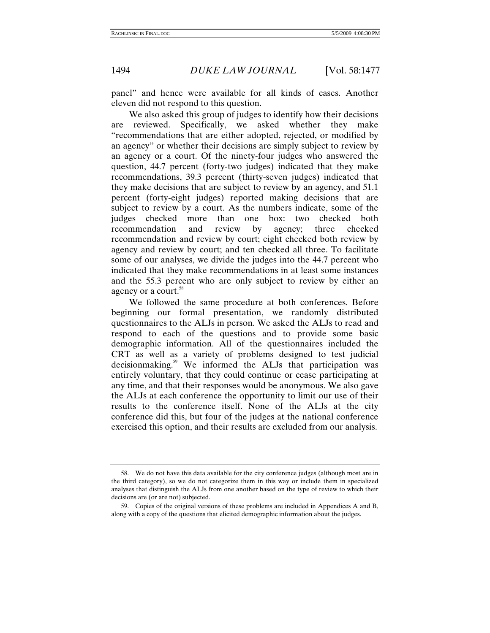panel" and hence were available for all kinds of cases. Another eleven did not respond to this question.

We also asked this group of judges to identify how their decisions are reviewed. Specifically, we asked whether they make "recommendations that are either adopted, rejected, or modified by an agency" or whether their decisions are simply subject to review by an agency or a court. Of the ninety-four judges who answered the question, 44.7 percent (forty-two judges) indicated that they make recommendations, 39.3 percent (thirty-seven judges) indicated that they make decisions that are subject to review by an agency, and 51.1 percent (forty-eight judges) reported making decisions that are subject to review by a court. As the numbers indicate, some of the judges checked more than one box: two checked both recommendation and review by agency; three checked recommendation and review by court; eight checked both review by agency and review by court; and ten checked all three. To facilitate some of our analyses, we divide the judges into the 44.7 percent who indicated that they make recommendations in at least some instances and the 55.3 percent who are only subject to review by either an agency or a court.<sup>58</sup>

We followed the same procedure at both conferences. Before beginning our formal presentation, we randomly distributed questionnaires to the ALJs in person. We asked the ALJs to read and respond to each of the questions and to provide some basic demographic information. All of the questionnaires included the CRT as well as a variety of problems designed to test judicial decisionmaking.59 We informed the ALJs that participation was entirely voluntary, that they could continue or cease participating at any time, and that their responses would be anonymous. We also gave the ALJs at each conference the opportunity to limit our use of their results to the conference itself. None of the ALJs at the city conference did this, but four of the judges at the national conference exercised this option, and their results are excluded from our analysis.

 <sup>58.</sup> We do not have this data available for the city conference judges (although most are in the third category), so we do not categorize them in this way or include them in specialized analyses that distinguish the ALJs from one another based on the type of review to which their decisions are (or are not) subjected.

 <sup>59.</sup> Copies of the original versions of these problems are included in Appendices A and B, along with a copy of the questions that elicited demographic information about the judges.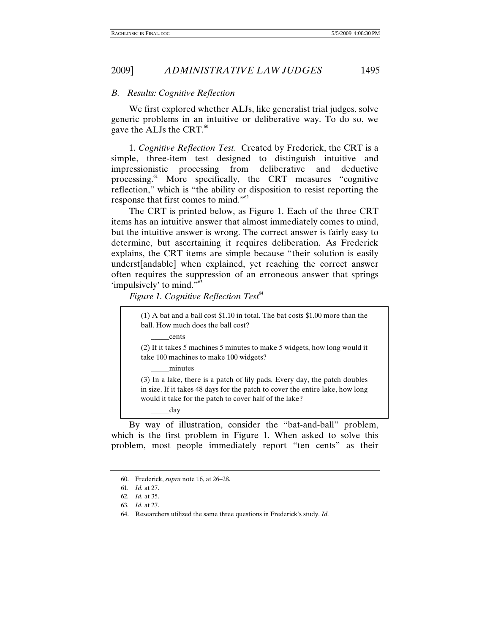#### *B. Results: Cognitive Reflection*

We first explored whether ALJs, like generalist trial judges, solve generic problems in an intuitive or deliberative way. To do so, we gave the ALJs the CRT.<sup>60</sup>

1. *Cognitive Reflection Test.* Created by Frederick, the CRT is a simple, three-item test designed to distinguish intuitive and impressionistic processing from deliberative and deductive processing.<sup>61</sup> More specifically, the CRT measures "cognitive reflection," which is "the ability or disposition to resist reporting the response that first comes to mind."62

The CRT is printed below, as Figure 1. Each of the three CRT items has an intuitive answer that almost immediately comes to mind, but the intuitive answer is wrong. The correct answer is fairly easy to determine, but ascertaining it requires deliberation. As Frederick explains, the CRT items are simple because "their solution is easily underst[andable] when explained, yet reaching the correct answer often requires the suppression of an erroneous answer that springs 'impulsively' to mind."<sup>63</sup>

*Figure 1. Cognitive Reflection Test*<sup>64</sup>

(1) A bat and a ball cost \$1.10 in total. The bat costs \$1.00 more than the ball. How much does the ball cost?

\_\_\_\_\_cents

(2) If it takes 5 machines 5 minutes to make 5 widgets, how long would it take 100 machines to make 100 widgets?

\_\_\_\_\_minutes

(3) In a lake, there is a patch of lily pads. Every day, the patch doubles in size. If it takes 48 days for the patch to cover the entire lake, how long would it take for the patch to cover half of the lake?

day

By way of illustration, consider the "bat-and-ball" problem, which is the first problem in Figure 1. When asked to solve this problem, most people immediately report "ten cents" as their

 <sup>60.</sup> Frederick, *supra* note 16, at 26–28.

<sup>61</sup>*. Id.* at 27.

<sup>62</sup>*. Id.* at 35.

<sup>63</sup>*. Id.* at 27.

 <sup>64.</sup> Researchers utilized the same three questions in Frederick's study. *Id.*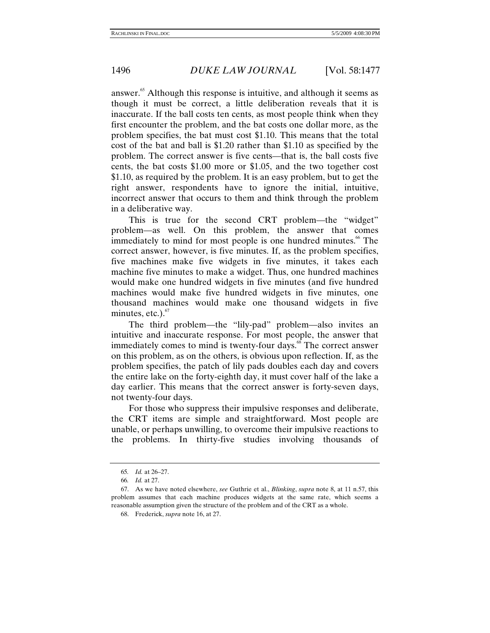answer.<sup>65</sup> Although this response is intuitive, and although it seems as though it must be correct, a little deliberation reveals that it is inaccurate. If the ball costs ten cents, as most people think when they first encounter the problem, and the bat costs one dollar more, as the problem specifies, the bat must cost \$1.10. This means that the total cost of the bat and ball is \$1.20 rather than \$1.10 as specified by the problem. The correct answer is five cents—that is, the ball costs five cents, the bat costs \$1.00 more or \$1.05, and the two together cost \$1.10, as required by the problem. It is an easy problem, but to get the right answer, respondents have to ignore the initial, intuitive, incorrect answer that occurs to them and think through the problem in a deliberative way.

This is true for the second CRT problem—the "widget" problem—as well. On this problem, the answer that comes immediately to mind for most people is one hundred minutes.<sup>66</sup> The correct answer, however, is five minutes. If, as the problem specifies, five machines make five widgets in five minutes, it takes each machine five minutes to make a widget. Thus, one hundred machines would make one hundred widgets in five minutes (and five hundred machines would make five hundred widgets in five minutes, one thousand machines would make one thousand widgets in five minutes, etc.).<sup>67</sup>

The third problem—the "lily-pad" problem—also invites an intuitive and inaccurate response. For most people, the answer that immediately comes to mind is twenty-four days.<sup>68</sup> The correct answer on this problem, as on the others, is obvious upon reflection. If, as the problem specifies, the patch of lily pads doubles each day and covers the entire lake on the forty-eighth day, it must cover half of the lake a day earlier. This means that the correct answer is forty-seven days, not twenty-four days.

For those who suppress their impulsive responses and deliberate, the CRT items are simple and straightforward. Most people are unable, or perhaps unwilling, to overcome their impulsive reactions to the problems. In thirty-five studies involving thousands of

<sup>65</sup>*. Id.* at 26–27.

<sup>66</sup>*. Id.* at 27.

 <sup>67.</sup> As we have noted elsewhere, *see* Guthrie et al., *Blinking*, *supra* note 8, at 11 n.57, this problem assumes that each machine produces widgets at the same rate, which seems a reasonable assumption given the structure of the problem and of the CRT as a whole.

 <sup>68.</sup> Frederick, *supra* note 16, at 27.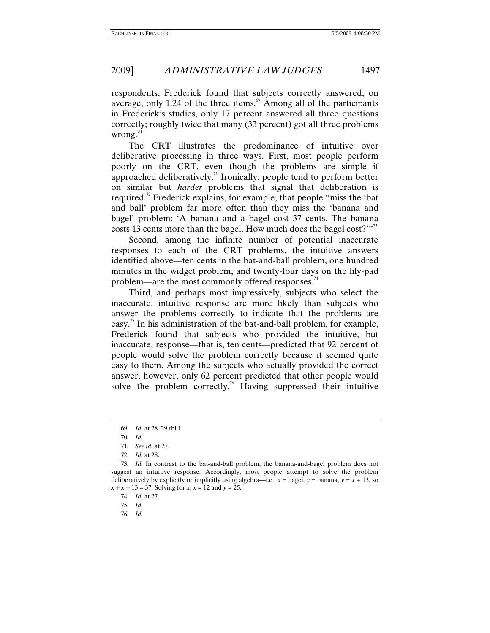respondents, Frederick found that subjects correctly answered, on average, only 1.24 of the three items. $69$  Among all of the participants in Frederick's studies, only 17 percent answered all three questions correctly; roughly twice that many (33 percent) got all three problems wrong. $70$ 

The CRT illustrates the predominance of intuitive over deliberative processing in three ways. First, most people perform poorly on the CRT, even though the problems are simple if approached deliberatively.<sup>71</sup> Ironically, people tend to perform better on similar but *harder* problems that signal that deliberation is required.<sup>72</sup> Frederick explains, for example, that people "miss the 'bat and ball' problem far more often than they miss the 'banana and bagel' problem: 'A banana and a bagel cost 37 cents. The banana costs 13 cents more than the bagel. How much does the bagel cost?"<sup>73</sup>

Second, among the infinite number of potential inaccurate responses to each of the CRT problems, the intuitive answers identified above—ten cents in the bat-and-ball problem, one hundred minutes in the widget problem, and twenty-four days on the lily-pad problem—are the most commonly offered responses.<sup>74</sup>

Third, and perhaps most impressively, subjects who select the inaccurate, intuitive response are more likely than subjects who answer the problems correctly to indicate that the problems are easy.<sup>75</sup> In his administration of the bat-and-ball problem, for example, Frederick found that subjects who provided the intuitive, but inaccurate, response—that is, ten cents—predicted that 92 percent of people would solve the problem correctly because it seemed quite easy to them. Among the subjects who actually provided the correct answer, however, only 62 percent predicted that other people would solve the problem correctly.<sup>76</sup> Having suppressed their intuitive

76*. Id.*

<sup>69</sup>*. Id.* at 28, 29 tbl.1.

<sup>70</sup>*. Id.*

<sup>71</sup>*. See id.* at 27.

<sup>72</sup>*. Id.* at 28.

<sup>73</sup>*. Id.* In contrast to the bat-and-ball problem, the banana-and-bagel problem does not suggest an intuitive response. Accordingly, most people attempt to solve the problem deliberatively by explicitly or implicitly using algebra—i.e.,  $x = \text{bagel}, y = \text{banana}, y = x + 13$ , so  $x + x + 13 = 37$ . Solving for *x*,  $x = 12$  and  $y = 25$ .

<sup>74</sup>*. Id.* at 27.

<sup>75</sup>*. Id.*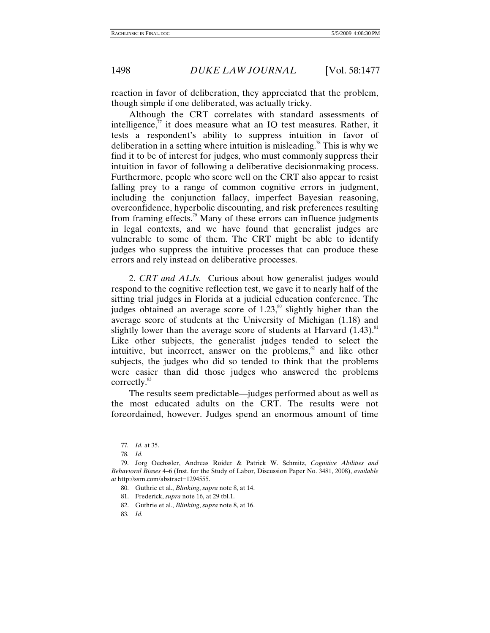reaction in favor of deliberation, they appreciated that the problem, though simple if one deliberated, was actually tricky.

Although the CRT correlates with standard assessments of intelligence, $\pi$  it does measure what an IQ test measures. Rather, it tests a respondent's ability to suppress intuition in favor of deliberation in a setting where intuition is misleading.<sup>78</sup> This is why we find it to be of interest for judges, who must commonly suppress their intuition in favor of following a deliberative decisionmaking process. Furthermore, people who score well on the CRT also appear to resist falling prey to a range of common cognitive errors in judgment, including the conjunction fallacy, imperfect Bayesian reasoning, overconfidence, hyperbolic discounting, and risk preferences resulting from framing effects.<sup>79</sup> Many of these errors can influence judgments in legal contexts, and we have found that generalist judges are vulnerable to some of them. The CRT might be able to identify judges who suppress the intuitive processes that can produce these errors and rely instead on deliberative processes.

2. *CRT and ALJs.* Curious about how generalist judges would respond to the cognitive reflection test, we gave it to nearly half of the sitting trial judges in Florida at a judicial education conference. The judges obtained an average score of  $1.23$ ,<sup>80</sup> slightly higher than the average score of students at the University of Michigan (1.18) and slightly lower than the average score of students at Harvard  $(1.43)$ .<sup>81</sup> Like other subjects, the generalist judges tended to select the intuitive, but incorrect, answer on the problems, $\frac{82}{3}$  and like other subjects, the judges who did so tended to think that the problems were easier than did those judges who answered the problems correctly.<sup>83</sup>

The results seem predictable—judges performed about as well as the most educated adults on the CRT. The results were not foreordained, however. Judges spend an enormous amount of time

<sup>77</sup>*. Id.* at 35.

<sup>78</sup>*. Id.*

 <sup>79.</sup> Jorg Oechssler, Andreas Roider & Patrick W. Schmitz, *Cognitive Abilities and Behavioral Biases* 4–6 (Inst. for the Study of Labor, Discussion Paper No. 3481, 2008), *available at* http://ssrn.com/abstract=1294555.

 <sup>80.</sup> Guthrie et al., *Blinking*, *supra* note 8, at 14.

 <sup>81.</sup> Frederick, *supra* note 16, at 29 tbl.1.

 <sup>82.</sup> Guthrie et al., *Blinking*, *supra* note 8, at 16.

<sup>83</sup>*. Id.*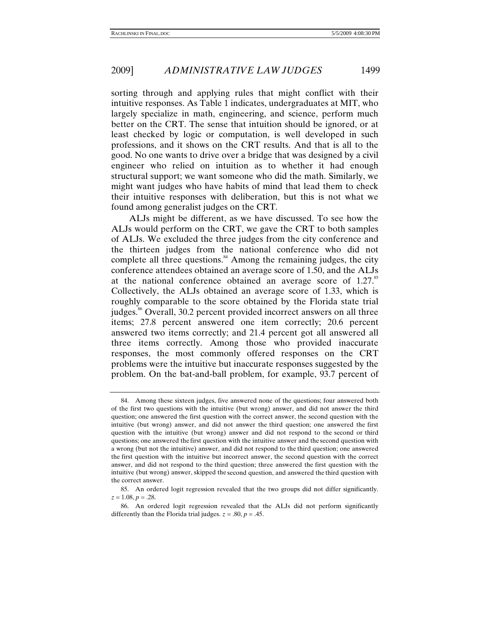sorting through and applying rules that might conflict with their intuitive responses. As Table 1 indicates, undergraduates at MIT, who largely specialize in math, engineering, and science, perform much better on the CRT. The sense that intuition should be ignored, or at least checked by logic or computation, is well developed in such professions, and it shows on the CRT results. And that is all to the good. No one wants to drive over a bridge that was designed by a civil engineer who relied on intuition as to whether it had enough structural support; we want someone who did the math. Similarly, we might want judges who have habits of mind that lead them to check their intuitive responses with deliberation, but this is not what we found among generalist judges on the CRT.

ALJs might be different, as we have discussed. To see how the ALJs would perform on the CRT, we gave the CRT to both samples of ALJs. We excluded the three judges from the city conference and the thirteen judges from the national conference who did not complete all three questions. $84$  Among the remaining judges, the city conference attendees obtained an average score of 1.50, and the ALJs at the national conference obtained an average score of  $1.27$ .<sup>85</sup> Collectively, the ALJs obtained an average score of 1.33, which is roughly comparable to the score obtained by the Florida state trial judges.<sup>86</sup> Overall, 30.2 percent provided incorrect answers on all three items; 27.8 percent answered one item correctly; 20.6 percent answered two items correctly; and 21.4 percent got all answered all three items correctly. Among those who provided inaccurate responses, the most commonly offered responses on the CRT problems were the intuitive but inaccurate responses suggested by the problem. On the bat-and-ball problem, for example, 93.7 percent of

 <sup>84.</sup> Among these sixteen judges, five answered none of the questions; four answered both of the first two questions with the intuitive (but wrong) answer, and did not answer the third question; one answered the first question with the correct answer, the second question with the intuitive (but wrong) answer, and did not answer the third question; one answered the first question with the intuitive (but wrong) answer and did not respond to the second or third questions; one answered the first question with the intuitive answer and the second question with a wrong (but not the intuitive) answer, and did not respond to the third question; one answered the first question with the intuitive but incorrect answer, the second question with the correct answer, and did not respond to the third question; three answered the first question with the intuitive (but wrong) answer, skipped the second question, and answered the third question with the correct answer.

 <sup>85.</sup> An ordered logit regression revealed that the two groups did not differ significantly.  $z = 1.08, p = .28.$ 

 <sup>86.</sup> An ordered logit regression revealed that the ALJs did not perform significantly differently than the Florida trial judges.  $z = .80$ ,  $p = .45$ .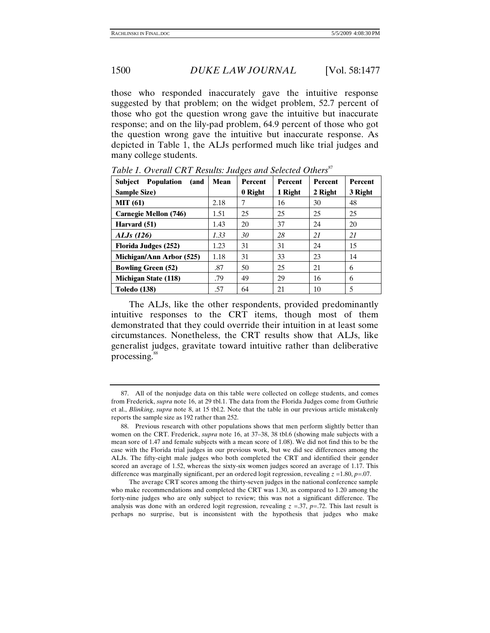those who responded inaccurately gave the intuitive response suggested by that problem; on the widget problem, 52.7 percent of those who got the question wrong gave the intuitive but inaccurate response; and on the lily-pad problem, 64.9 percent of those who got the question wrong gave the intuitive but inaccurate response. As depicted in Table 1, the ALJs performed much like trial judges and many college students.

| <b>Population</b><br><b>Subject</b><br>and) | Mean | <b>Percent</b> | <b>Percent</b> | <b>Percent</b> | <b>Percent</b> |
|---------------------------------------------|------|----------------|----------------|----------------|----------------|
| <b>Sample Size)</b>                         |      | 0 Right        | 1 Right        | 2 Right        | 3 Right        |
| <b>MIT</b> (61)                             | 2.18 | 7              | 16             | 30             | 48             |
| <b>Carnegie Mellon (746)</b>                | 1.51 | 25             | 25             | 25             | 25             |
| Harvard (51)                                | 1.43 | 20             | 37             | 24             | 20             |
| $ALJs$ (126)                                | 1.33 | 30             | 28             | 21             | 21             |
| Florida Judges (252)                        | 1.23 | 31             | 31             | 24             | 15             |
| Michigan/Ann Arbor (525)                    | 1.18 | 31             | 33             | 23             | 14             |
| <b>Bowling Green (52)</b>                   | .87  | 50             | 25             | 21             | 6              |
| <b>Michigan State (118)</b>                 | .79  | 49             | 29             | 16             | 6              |
| <b>Toledo</b> (138)                         | .57  | 64             | 21             | 10             | 5              |

*Table 1. Overall CRT Results: Judges and Selected Others*<sup>87</sup>

The ALJs, like the other respondents, provided predominantly intuitive responses to the CRT items, though most of them demonstrated that they could override their intuition in at least some circumstances. Nonetheless, the CRT results show that ALJs, like generalist judges, gravitate toward intuitive rather than deliberative processing.<sup>88</sup>

 <sup>87.</sup> All of the nonjudge data on this table were collected on college students, and comes from Frederick, *supra* note 16, at 29 tbl.1. The data from the Florida Judges come from Guthrie et al., *Blinking*, *supra* note 8, at 15 tbl.2. Note that the table in our previous article mistakenly reports the sample size as 192 rather than 252.

 <sup>88.</sup> Previous research with other populations shows that men perform slightly better than women on the CRT. Frederick, *supra* note 16, at 37–38, 38 tbl.6 (showing male subjects with a mean sore of 1.47 and female subjects with a mean score of 1.08). We did not find this to be the case with the Florida trial judges in our previous work, but we did see differences among the ALJs. The fifty-eight male judges who both completed the CRT and identified their gender scored an average of 1.52, whereas the sixty-six women judges scored an average of 1.17. This difference was marginally significant, per an ordered logit regression, revealing *z* =1.80, *p*=.07.

The average CRT scores among the thirty-seven judges in the national conference sample who make recommendations and completed the CRT was 1.30, as compared to 1.20 among the forty-nine judges who are only subject to review; this was not a significant difference. The analysis was done with an ordered logit regression, revealing  $z = .37$ ,  $p = .72$ . This last result is perhaps no surprise, but is inconsistent with the hypothesis that judges who make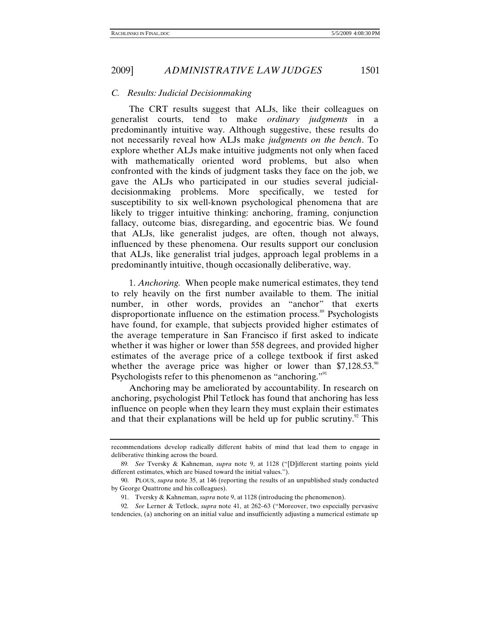2009] *ADMINISTRATIVE LAW JUDGES* 1501

# *C. Results: Judicial Decisionmaking*

The CRT results suggest that ALJs, like their colleagues on generalist courts, tend to make *ordinary judgments* in a predominantly intuitive way. Although suggestive, these results do not necessarily reveal how ALJs make *judgments on the bench*. To explore whether ALJs make intuitive judgments not only when faced with mathematically oriented word problems, but also when confronted with the kinds of judgment tasks they face on the job, we gave the ALJs who participated in our studies several judicialdecisionmaking problems. More specifically, we tested for susceptibility to six well-known psychological phenomena that are likely to trigger intuitive thinking: anchoring, framing, conjunction fallacy, outcome bias, disregarding, and egocentric bias. We found that ALJs, like generalist judges, are often, though not always, influenced by these phenomena. Our results support our conclusion that ALJs, like generalist trial judges, approach legal problems in a predominantly intuitive, though occasionally deliberative, way.

1. *Anchoring.* When people make numerical estimates, they tend to rely heavily on the first number available to them. The initial number, in other words, provides an "anchor" that exerts disproportionate influence on the estimation process.<sup>89</sup> Psychologists have found, for example, that subjects provided higher estimates of the average temperature in San Francisco if first asked to indicate whether it was higher or lower than 558 degrees, and provided higher estimates of the average price of a college textbook if first asked whether the average price was higher or lower than  $$7,128.53$ .<sup>90</sup> Psychologists refer to this phenomenon as "anchoring."<sup>91</sup>

Anchoring may be ameliorated by accountability. In research on anchoring, psychologist Phil Tetlock has found that anchoring has less influence on people when they learn they must explain their estimates and that their explanations will be held up for public scrutiny.<sup>92</sup> This

recommendations develop radically different habits of mind that lead them to engage in deliberative thinking across the board.

<sup>89</sup>*. See* Tversky & Kahneman, *supra* note 9, at 1128 ("[D]ifferent starting points yield different estimates, which are biased toward the initial values.").

 <sup>90.</sup> PLOUS, *supra* note 35, at 146 (reporting the results of an unpublished study conducted by George Quattrone and his colleagues).

 <sup>91.</sup> Tversky & Kahneman, *supra* note 9, at 1128 (introducing the phenomenon).

<sup>92</sup>*. See* Lerner & Tetlock, *supra* note 41, at 262–63 ("Moreover, two especially pervasive tendencies, (a) anchoring on an initial value and insufficiently adjusting a numerical estimate up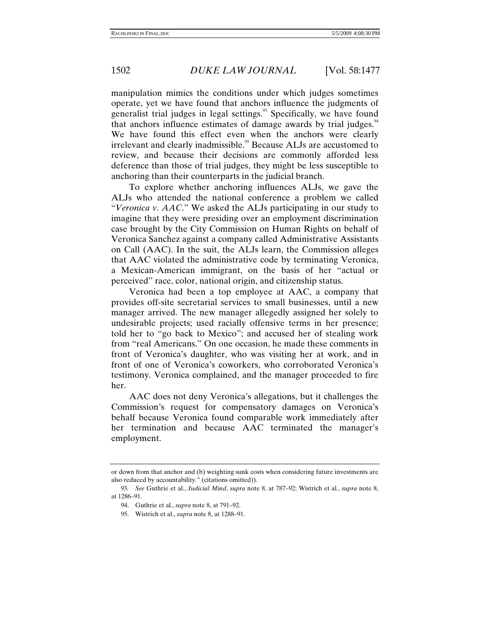manipulation mimics the conditions under which judges sometimes operate, yet we have found that anchors influence the judgments of generalist trial judges in legal settings.<sup>93</sup> Specifically, we have found that anchors influence estimates of damage awards by trial judges. $44$ We have found this effect even when the anchors were clearly irrelevant and clearly inadmissible.<sup>95</sup> Because ALJs are accustomed to review, and because their decisions are commonly afforded less deference than those of trial judges, they might be less susceptible to anchoring than their counterparts in the judicial branch.

To explore whether anchoring influences ALJs, we gave the ALJs who attended the national conference a problem we called "*Veronica v. AAC*." We asked the ALJs participating in our study to imagine that they were presiding over an employment discrimination case brought by the City Commission on Human Rights on behalf of Veronica Sanchez against a company called Administrative Assistants on Call (AAC). In the suit, the ALJs learn, the Commission alleges that AAC violated the administrative code by terminating Veronica, a Mexican-American immigrant, on the basis of her "actual or perceived" race, color, national origin, and citizenship status.

Veronica had been a top employee at AAC, a company that provides off-site secretarial services to small businesses, until a new manager arrived. The new manager allegedly assigned her solely to undesirable projects; used racially offensive terms in her presence; told her to "go back to Mexico"; and accused her of stealing work from "real Americans." On one occasion, he made these comments in front of Veronica's daughter, who was visiting her at work, and in front of one of Veronica's coworkers, who corroborated Veronica's testimony. Veronica complained, and the manager proceeded to fire her.

AAC does not deny Veronica's allegations, but it challenges the Commission's request for compensatory damages on Veronica's behalf because Veronica found comparable work immediately after her termination and because AAC terminated the manager's employment.

or down from that anchor and (b) weighting sunk costs when considering future investments are also reduced by accountability." (citations omitted)).

<sup>93</sup>*. See* Guthrie et al., *Judicial Mind*, *supra* note 8, at 787–92; Wistrich et al., *supra* note 8, at 1286–91.

 <sup>94.</sup> Guthrie et al., *supra* note 8, at 791–92.

 <sup>95.</sup> Wistrich et al., *supra* note 8, at 1288–91.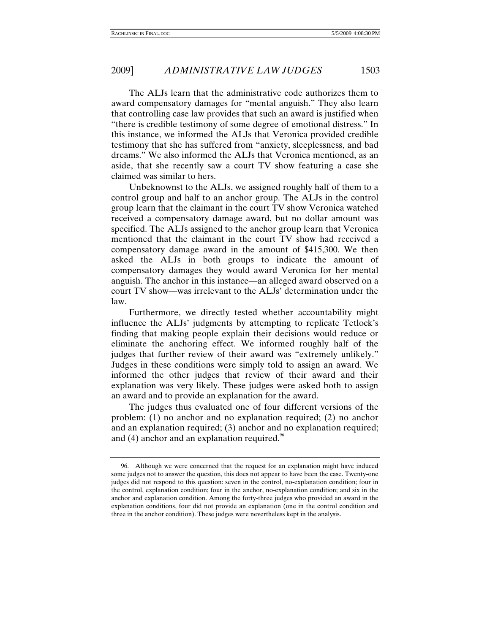The ALJs learn that the administrative code authorizes them to award compensatory damages for "mental anguish." They also learn that controlling case law provides that such an award is justified when "there is credible testimony of some degree of emotional distress." In this instance, we informed the ALJs that Veronica provided credible testimony that she has suffered from "anxiety, sleeplessness, and bad dreams." We also informed the ALJs that Veronica mentioned, as an aside, that she recently saw a court TV show featuring a case she claimed was similar to hers.

Unbeknownst to the ALJs, we assigned roughly half of them to a control group and half to an anchor group. The ALJs in the control group learn that the claimant in the court TV show Veronica watched received a compensatory damage award, but no dollar amount was specified. The ALJs assigned to the anchor group learn that Veronica mentioned that the claimant in the court TV show had received a compensatory damage award in the amount of \$415,300. We then asked the ALJs in both groups to indicate the amount of compensatory damages they would award Veronica for her mental anguish. The anchor in this instance—an alleged award observed on a court TV show—was irrelevant to the ALJs' determination under the law.

Furthermore, we directly tested whether accountability might influence the ALJs' judgments by attempting to replicate Tetlock's finding that making people explain their decisions would reduce or eliminate the anchoring effect. We informed roughly half of the judges that further review of their award was "extremely unlikely." Judges in these conditions were simply told to assign an award. We informed the other judges that review of their award and their explanation was very likely. These judges were asked both to assign an award and to provide an explanation for the award.

The judges thus evaluated one of four different versions of the problem: (1) no anchor and no explanation required; (2) no anchor and an explanation required; (3) anchor and no explanation required; and  $(4)$  anchor and an explanation required.<sup>96</sup>

 <sup>96.</sup> Although we were concerned that the request for an explanation might have induced some judges not to answer the question, this does not appear to have been the case. Twenty-one judges did not respond to this question: seven in the control, no-explanation condition; four in the control, explanation condition; four in the anchor, no-explanation condition; and six in the anchor and explanation condition. Among the forty-three judges who provided an award in the explanation conditions, four did not provide an explanation (one in the control condition and three in the anchor condition). These judges were nevertheless kept in the analysis.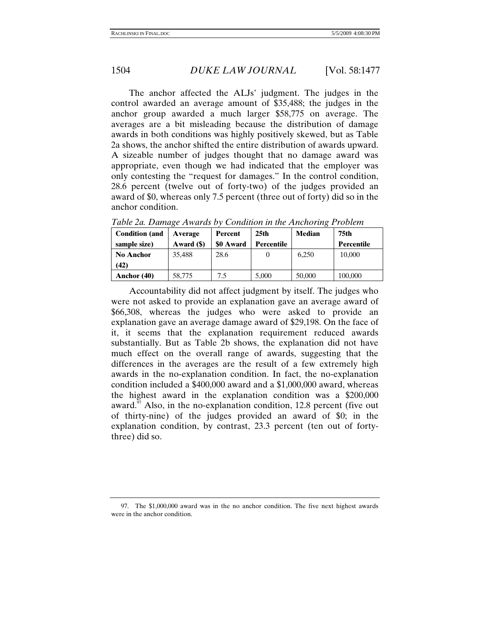The anchor affected the ALJs' judgment. The judges in the control awarded an average amount of \$35,488; the judges in the anchor group awarded a much larger \$58,775 on average. The averages are a bit misleading because the distribution of damage awards in both conditions was highly positively skewed, but as Table 2a shows, the anchor shifted the entire distribution of awards upward. A sizeable number of judges thought that no damage award was appropriate, even though we had indicated that the employer was only contesting the "request for damages." In the control condition, 28.6 percent (twelve out of forty-two) of the judges provided an award of \$0, whereas only 7.5 percent (three out of forty) did so in the anchor condition.

| <b>Condition</b> (and | Average    | Percent   | 25 <sub>th</sub> | <b>Median</b> | 75th       |
|-----------------------|------------|-----------|------------------|---------------|------------|
| sample size)          | Award (\$) | \$0 Award | Percentile       |               | Percentile |
| <b>No Anchor</b>      | 35,488     | 28.6      |                  | 6.250         | 10,000     |
| (42)                  |            |           |                  |               |            |
| Anchor (40)           | 58,775     | 7.5       | 5.000            | 50,000        | 100,000    |

*Table 2a. Damage Awards by Condition in the Anchoring Problem* 

Accountability did not affect judgment by itself. The judges who were not asked to provide an explanation gave an average award of \$66,308, whereas the judges who were asked to provide an explanation gave an average damage award of \$29,198. On the face of it, it seems that the explanation requirement reduced awards substantially. But as Table 2b shows, the explanation did not have much effect on the overall range of awards, suggesting that the differences in the averages are the result of a few extremely high awards in the no-explanation condition. In fact, the no-explanation condition included a \$400,000 award and a \$1,000,000 award, whereas the highest award in the explanation condition was a \$200,000 award. $97$  Also, in the no-explanation condition, 12.8 percent (five out of thirty-nine) of the judges provided an award of \$0; in the explanation condition, by contrast, 23.3 percent (ten out of fortythree) did so.

 <sup>97.</sup> The \$1,000,000 award was in the no anchor condition. The five next highest awards were in the anchor condition.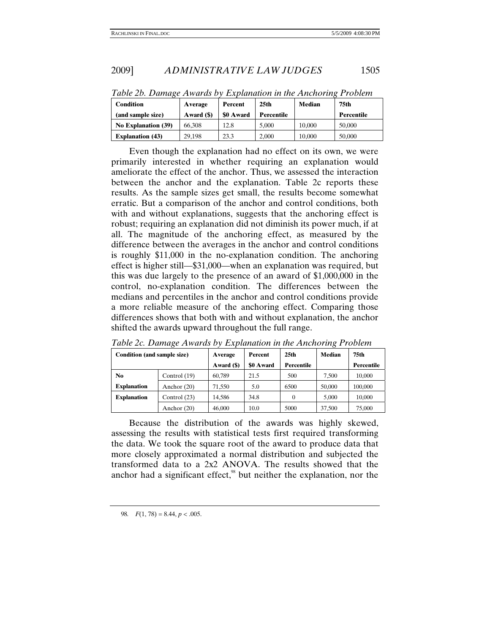| <b>Condition</b><br>(and sample size) | Average<br>Award (\$) | Percent<br>\$0 Award | 25 <sub>th</sub><br>Percentile | <b>Median</b> | 75th<br>Percentile |
|---------------------------------------|-----------------------|----------------------|--------------------------------|---------------|--------------------|
| <b>No Explanation (39)</b>            | 66.308                | 12.8                 | 5.000                          | 10.000        | 50,000             |
| <b>Explanation (43)</b>               | 29.198                | 23.3                 | 2.000                          | 10.000        | 50,000             |

*Table 2b. Damage Awards by Explanation in the Anchoring Problem* 

Even though the explanation had no effect on its own, we were primarily interested in whether requiring an explanation would ameliorate the effect of the anchor. Thus, we assessed the interaction between the anchor and the explanation. Table 2c reports these results. As the sample sizes get small, the results become somewhat erratic. But a comparison of the anchor and control conditions, both with and without explanations, suggests that the anchoring effect is robust; requiring an explanation did not diminish its power much, if at all. The magnitude of the anchoring effect, as measured by the difference between the averages in the anchor and control conditions is roughly \$11,000 in the no-explanation condition. The anchoring effect is higher still—\$31,000—when an explanation was required, but this was due largely to the presence of an award of \$1,000,000 in the control, no-explanation condition. The differences between the medians and percentiles in the anchor and control conditions provide a more reliable measure of the anchoring effect. Comparing those differences shows that both with and without explanation, the anchor shifted the awards upward throughout the full range.

| Condition (and sample size) |               | Average    | <b>Percent</b> | 25 <sub>th</sub>  | <b>Median</b> | 75th       |
|-----------------------------|---------------|------------|----------------|-------------------|---------------|------------|
|                             |               | Award (\$) | \$0 Award      | <b>Percentile</b> |               | Percentile |
| N <sub>0</sub>              | Control (19)  | 60.789     | 21.5           | 500               | 7.500         | 10,000     |
| <b>Explanation</b>          | Anchor $(20)$ | 71.550     | 5.0            | 6500              | 50,000        | 100,000    |
| <b>Explanation</b>          | Control (23)  | 14.586     | 34.8           | 0                 | 5.000         | 10,000     |
|                             | Anchor $(20)$ | 46,000     | 10.0           | 5000              | 37.500        | 75,000     |

*Table 2c. Damage Awards by Explanation in the Anchoring Problem* 

Because the distribution of the awards was highly skewed, assessing the results with statistical tests first required transforming the data. We took the square root of the award to produce data that more closely approximated a normal distribution and subjected the transformed data to a 2x2 ANOVA. The results showed that the anchor had a significant effect, $\frac{98}{8}$  but neither the explanation, nor the

<sup>98.</sup>  $F(1, 78) = 8.44, p < .005$ .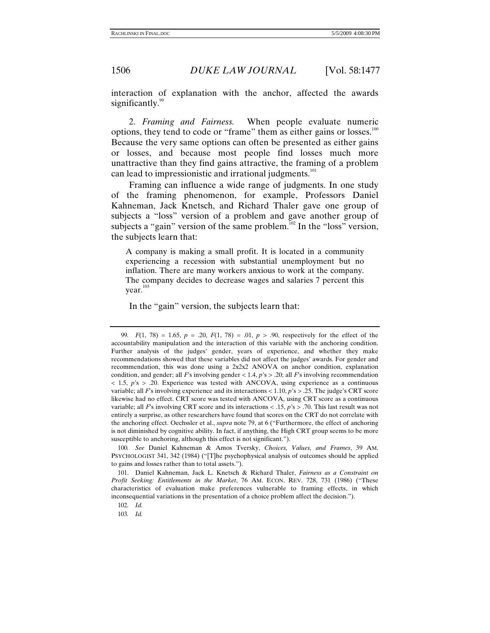interaction of explanation with the anchor, affected the awards significantly.<sup>99</sup>

2. *Framing and Fairness.* When people evaluate numeric options, they tend to code or "frame" them as either gains or losses. $100$ Because the very same options can often be presented as either gains or losses, and because most people find losses much more unattractive than they find gains attractive, the framing of a problem can lead to impressionistic and irrational judgments.<sup>101</sup>

Framing can influence a wide range of judgments. In one study of the framing phenomenon, for example, Professors Daniel Kahneman, Jack Knetsch, and Richard Thaler gave one group of subjects a "loss" version of a problem and gave another group of subjects a "gain" version of the same problem.<sup>102</sup> In the "loss" version, the subjects learn that:

A company is making a small profit. It is located in a community experiencing a recession with substantial unemployment but no inflation. There are many workers anxious to work at the company. The company decides to decrease wages and salaries 7 percent this  $year.<sup>103</sup>$ 

In the "gain" version, the subjects learn that:

100*. See* Daniel Kahneman & Amos Tversky, *Choices, Values, and Frames*, 39 AM. PSYCHOLOGIST 341, 342 (1984) ("[T]he psychophysical analysis of outcomes should be applied to gains and losses rather than to total assets.").

<sup>99</sup>*. F*(1, 78) = 1.65, *p* = .20, *F*(1, 78) = .01, *p* > .90, respectively for the effect of the accountability manipulation and the interaction of this variable with the anchoring condition. Further analysis of the judges' gender, years of experience, and whether they make recommendations showed that these variables did not affect the judges' awards. For gender and recommendation, this was done using a  $2x2x2$  ANOVA on anchor condition, explanation condition, and gender; all *F*'s involving gender < 1.4, *p*'s > .20; all *F*'s involving recommendation < 1.5, *p*'s > .20. Experience was tested with ANCOVA, using experience as a continuous variable; all *F*'s involving experience and its interactions  $< 1.10$ ,  $p$ 's  $> .25$ . The judge's CRT score likewise had no effect. CRT score was tested with ANCOVA, using CRT score as a continuous variable; all *F*'s involving CRT score and its interactions < .15, *p*'s > .70. This last result was not entirely a surprise, as other researchers have found that scores on the CRT do not correlate with the anchoring effect. Oechssler et al., *supra* note 79, at 6 ("Furthermore, the effect of anchoring is not diminished by cognitive ability. In fact, if anything, the High CRT group seems to be more susceptible to anchoring, although this effect is not significant.").

 <sup>101.</sup> Daniel Kahneman, Jack L. Knetsch & Richard Thaler, *Fairness as a Constraint on Profit Seeking: Entitlements in the Market*, 76 AM. ECON. REV. 728, 731 (1986) ("These characteristics of evaluation make preferences vulnerable to framing effects, in which inconsequential variations in the presentation of a choice problem affect the decision.").

<sup>102</sup>*. Id.*

<sup>103</sup>*. Id.*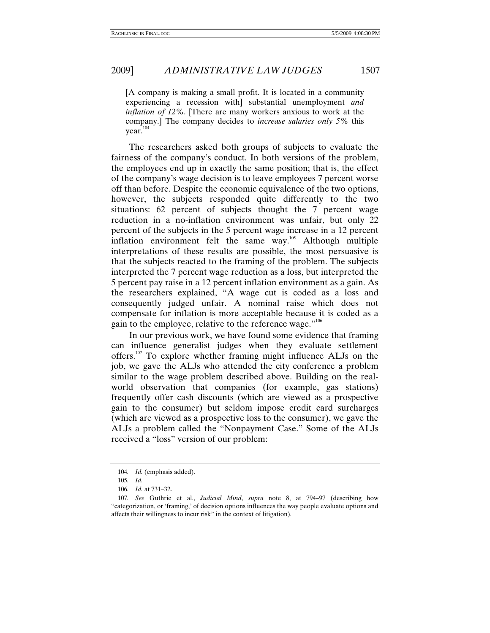[A company is making a small profit. It is located in a community experiencing a recession with] substantial unemployment *and inflation of 12%*. [There are many workers anxious to work at the company.] The company decides to *increase salaries only 5%* this year.<sup>104</sup>

The researchers asked both groups of subjects to evaluate the fairness of the company's conduct. In both versions of the problem, the employees end up in exactly the same position; that is, the effect of the company's wage decision is to leave employees 7 percent worse off than before. Despite the economic equivalence of the two options, however, the subjects responded quite differently to the two situations: 62 percent of subjects thought the 7 percent wage reduction in a no-inflation environment was unfair, but only 22 percent of the subjects in the 5 percent wage increase in a 12 percent inflation environment felt the same way.<sup>105</sup> Although multiple interpretations of these results are possible, the most persuasive is that the subjects reacted to the framing of the problem. The subjects interpreted the 7 percent wage reduction as a loss, but interpreted the 5 percent pay raise in a 12 percent inflation environment as a gain. As the researchers explained, "A wage cut is coded as a loss and consequently judged unfair. A nominal raise which does not compensate for inflation is more acceptable because it is coded as a gain to the employee, relative to the reference wage."<sup>106</sup>

In our previous work, we have found some evidence that framing can influence generalist judges when they evaluate settlement offers.<sup>107</sup> To explore whether framing might influence ALJs on the job, we gave the ALJs who attended the city conference a problem similar to the wage problem described above. Building on the realworld observation that companies (for example, gas stations) frequently offer cash discounts (which are viewed as a prospective gain to the consumer) but seldom impose credit card surcharges (which are viewed as a prospective loss to the consumer), we gave the ALJs a problem called the "Nonpayment Case." Some of the ALJs received a "loss" version of our problem:

<sup>104</sup>*. Id.* (emphasis added).

<sup>105</sup>*. Id.*

<sup>106</sup>*. Id.* at 731–32.

<sup>107</sup>*. See* Guthrie et al., *Judicial Mind*, *supra* note 8, at 794–97 (describing how "categorization, or 'framing,' of decision options influences the way people evaluate options and affects their willingness to incur risk" in the context of litigation).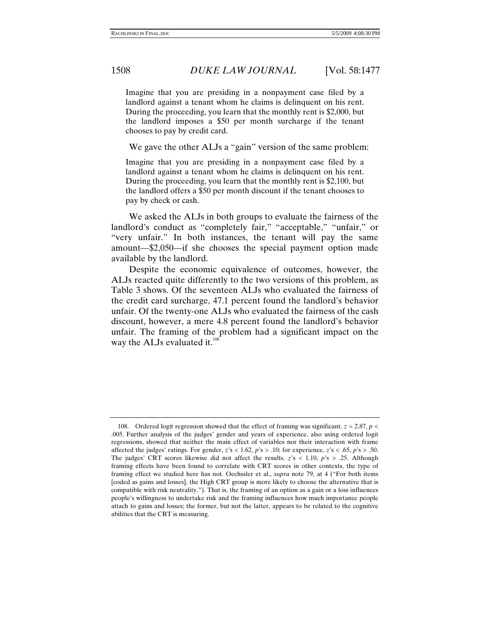Imagine that you are presiding in a nonpayment case filed by a landlord against a tenant whom he claims is delinquent on his rent. During the proceeding, you learn that the monthly rent is \$2,000, but the landlord imposes a \$50 per month surcharge if the tenant chooses to pay by credit card.

We gave the other ALJs a "gain" version of the same problem:

Imagine that you are presiding in a nonpayment case filed by a landlord against a tenant whom he claims is delinquent on his rent. During the proceeding, you learn that the monthly rent is \$2,100, but the landlord offers a \$50 per month discount if the tenant chooses to pay by check or cash.

We asked the ALJs in both groups to evaluate the fairness of the landlord's conduct as "completely fair," "acceptable," "unfair," or "very unfair." In both instances, the tenant will pay the same amount—\$2,050—if she chooses the special payment option made available by the landlord.

Despite the economic equivalence of outcomes, however, the ALJs reacted quite differently to the two versions of this problem, as Table 3 shows. Of the seventeen ALJs who evaluated the fairness of the credit card surcharge, 47.1 percent found the landlord's behavior unfair. Of the twenty-one ALJs who evaluated the fairness of the cash discount, however, a mere 4.8 percent found the landlord's behavior unfair. The framing of the problem had a significant impact on the way the ALJs evaluated it. $^{108}$ 

<sup>108.</sup> Ordered logit regression showed that the effect of framing was significant.  $z = 2.87$ ,  $p <$ .005. Further analysis of the judges' gender and years of experience, also using ordered logit regressions, showed that neither the main effect of variables nor their interaction with frame affected the judges' ratings. For gender,  $z's < 1.62$ ,  $p's > 0.10$ ; for experience,  $z's < 0.65$ ,  $p's > 0.50$ . The judges' CRT scores likewise did not affect the results.  $z$ 's < 1.10,  $p$ 's > .25. Although framing effects have been found to correlate with CRT scores in other contexts, the type of framing effect we studied here has not. Oechssler et al., *supra* note 79, at 4 ("For both items [coded as gains and losses], the High CRT group is more likely to choose the alternative that is compatible with risk neutrality."). That is, the framing of an option as a gain or a loss influences people's willingness to undertake risk and the framing influences how much importance people attach to gains and losses; the former, but not the latter, appears to be related to the cognitive abilities that the CRT is measuring.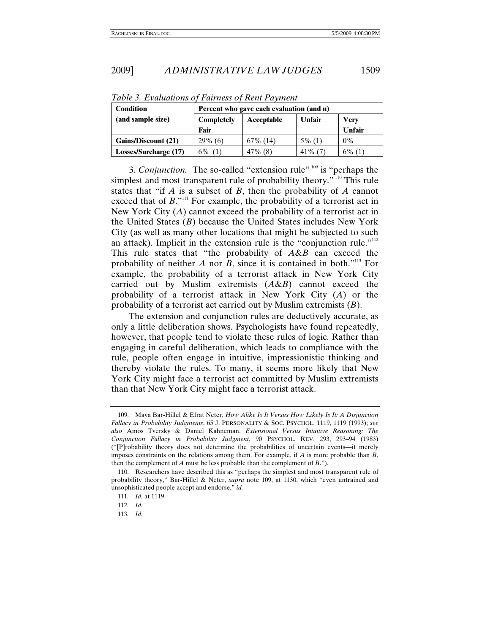| <b>Condition</b><br>Percent who gave each evaluation (and n) |            |             |            |               |
|--------------------------------------------------------------|------------|-------------|------------|---------------|
| (and sample size)                                            | Completely | Acceptable  | Unfair     | Very          |
|                                                              | Fair       |             |            | <b>Unfair</b> |
| <b>Gains/Discount (21)</b>                                   | $29\%$ (6) | $67\%$ (14) | $5\%$ (1)  | $0\%$         |
| Losses/Surcharge (17)                                        | $6\%$ (1)  | $47\%$ (8)  | $41\%$ (7) | $6\%$ (1)     |

*Table 3. Evaluations of Fairness of Rent Payment* 

3. *Conjunction*. The so-called "extension rule" <sup>109</sup> is "perhaps the simplest and most transparent rule of probability theory."<sup>110</sup> This rule states that "if *A* is a subset of *B*, then the probability of *A* cannot exceed that of  $B$ .<sup>"111</sup> For example, the probability of a terrorist act in New York City (*A*) cannot exceed the probability of a terrorist act in the United States (*B*) because the United States includes New York City (as well as many other locations that might be subjected to such an attack). Implicit in the extension rule is the "conjunction rule."<sup>112</sup> This rule states that "the probability of *A*&*B* can exceed the probability of neither *A* nor *B*, since it is contained in both.<sup>"113</sup> For example, the probability of a terrorist attack in New York City carried out by Muslim extremists (*A*&*B*) cannot exceed the probability of a terrorist attack in New York City (*A*) or the probability of a terrorist act carried out by Muslim extremists (*B*).

The extension and conjunction rules are deductively accurate, as only a little deliberation shows. Psychologists have found repeatedly, however, that people tend to violate these rules of logic. Rather than engaging in careful deliberation, which leads to compliance with the rule, people often engage in intuitive, impressionistic thinking and thereby violate the rules. To many, it seems more likely that New York City might face a terrorist act committed by Muslim extremists than that New York City might face a terrorist attack.

 <sup>109.</sup> Maya Bar-Hillel & Efrat Neter, *How Alike Is It Versus How Likely Is It: A Disjunction Fallacy in Probability Judgments*, 65 J. PERSONALITY & SOC. PSYCHOL. 1119, 1119 (1993); *see also* Amos Tversky & Daniel Kahneman, *Extensional Versus Intuitive Reasoning: The Conjunction Fallacy in Probability Judgment*, 90 PSYCHOL. REV. 293, 293–94 (1983) ("[P]robability theory does not determine the probabilities of uncertain events—it merely imposes constraints on the relations among them. For example, if *A* is more probable than *B*, then the complement of *A* must be less probable than the complement of *B*.").

 <sup>110.</sup> Researchers have described this as "perhaps the simplest and most transparent rule of probability theory," Bar-Hillel & Neter, *supra* note 109, at 1130, which "even untrained and unsophisticated people accept and endorse," *id.*

<sup>111</sup>*. Id.* at 1119.

<sup>112</sup>*. Id.*

<sup>113</sup>*. Id.*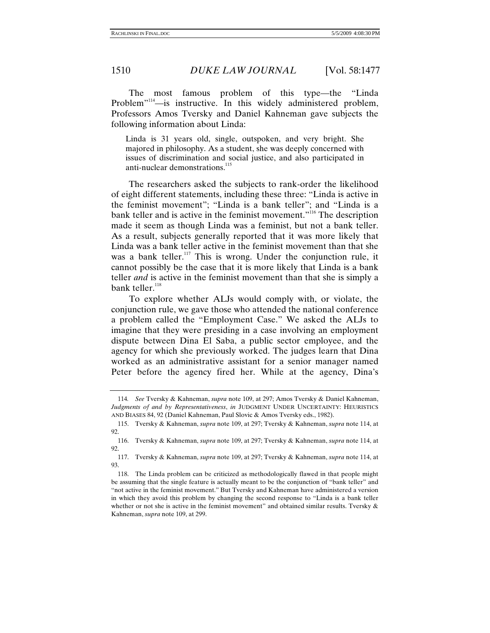The most famous problem of this type—the "Linda Problem<sup>"114</sup>—is instructive. In this widely administered problem, Professors Amos Tversky and Daniel Kahneman gave subjects the following information about Linda:

Linda is 31 years old, single, outspoken, and very bright. She majored in philosophy. As a student, she was deeply concerned with issues of discrimination and social justice, and also participated in anti-nuclear demonstrations.<sup>115</sup>

The researchers asked the subjects to rank-order the likelihood of eight different statements, including these three: "Linda is active in the feminist movement"; "Linda is a bank teller"; and "Linda is a bank teller and is active in the feminist movement."<sup>116</sup> The description made it seem as though Linda was a feminist, but not a bank teller. As a result, subjects generally reported that it was more likely that Linda was a bank teller active in the feminist movement than that she was a bank teller.<sup>117</sup> This is wrong. Under the conjunction rule, it cannot possibly be the case that it is more likely that Linda is a bank teller *and* is active in the feminist movement than that she is simply a bank teller.<sup>118</sup>

To explore whether ALJs would comply with, or violate, the conjunction rule, we gave those who attended the national conference a problem called the "Employment Case." We asked the ALJs to imagine that they were presiding in a case involving an employment dispute between Dina El Saba, a public sector employee, and the agency for which she previously worked. The judges learn that Dina worked as an administrative assistant for a senior manager named Peter before the agency fired her. While at the agency, Dina's

<sup>114</sup>*. See* Tversky & Kahneman, *supra* note 109, at 297; Amos Tversky & Daniel Kahneman, *Judgments of and by Representativeness*, *in* JUDGMENT UNDER UNCERTAINTY: HEURISTICS AND BIASES 84, 92 (Daniel Kahneman, Paul Slovic & Amos Tversky eds., 1982).

 <sup>115.</sup> Tversky & Kahneman, *supra* note 109, at 297; Tversky & Kahneman, *supra* note 114, at 92.

 <sup>116.</sup> Tversky & Kahneman, *supra* note 109, at 297; Tversky & Kahneman, *supra* note 114, at 92.

 <sup>117.</sup> Tversky & Kahneman, *supra* note 109, at 297; Tversky & Kahneman, *supra* note 114, at 93.

 <sup>118.</sup> The Linda problem can be criticized as methodologically flawed in that people might be assuming that the single feature is actually meant to be the conjunction of "bank teller" and "not active in the feminist movement." But Tversky and Kahneman have administered a version in which they avoid this problem by changing the second response to "Linda is a bank teller whether or not she is active in the feminist movement" and obtained similar results. Tversky & Kahneman, *supra* note 109, at 299.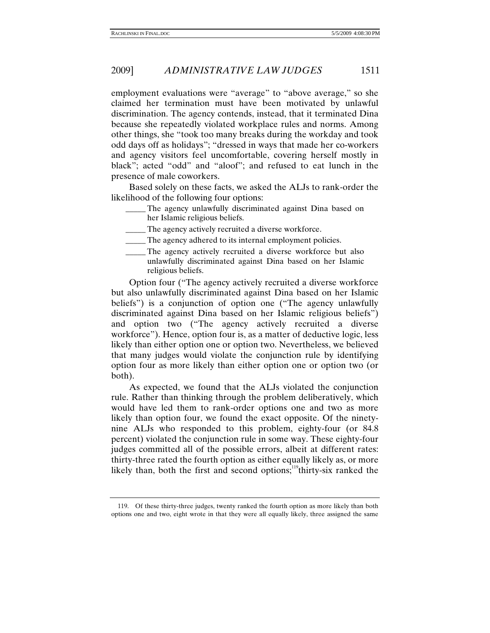employment evaluations were "average" to "above average," so she claimed her termination must have been motivated by unlawful discrimination. The agency contends, instead, that it terminated Dina because she repeatedly violated workplace rules and norms. Among other things, she "took too many breaks during the workday and took odd days off as holidays"; "dressed in ways that made her co-workers and agency visitors feel uncomfortable, covering herself mostly in black"; acted "odd" and "aloof"; and refused to eat lunch in the presence of male coworkers.

Based solely on these facts, we asked the ALJs to rank-order the likelihood of the following four options:

- The agency unlawfully discriminated against Dina based on her Islamic religious beliefs.
- The agency actively recruited a diverse workforce.
- \_\_\_\_\_ The agency adhered to its internal employment policies.
- The agency actively recruited a diverse workforce but also unlawfully discriminated against Dina based on her Islamic religious beliefs.

Option four ("The agency actively recruited a diverse workforce but also unlawfully discriminated against Dina based on her Islamic beliefs") is a conjunction of option one ("The agency unlawfully discriminated against Dina based on her Islamic religious beliefs") and option two ("The agency actively recruited a diverse workforce"). Hence, option four is, as a matter of deductive logic, less likely than either option one or option two. Nevertheless, we believed that many judges would violate the conjunction rule by identifying option four as more likely than either option one or option two (or both).

As expected, we found that the ALJs violated the conjunction rule. Rather than thinking through the problem deliberatively, which would have led them to rank-order options one and two as more likely than option four, we found the exact opposite. Of the ninetynine ALJs who responded to this problem, eighty-four (or 84.8 percent) violated the conjunction rule in some way. These eighty-four judges committed all of the possible errors, albeit at different rates: thirty-three rated the fourth option as either equally likely as, or more likely than, both the first and second options,<sup>119</sup>thirty-six ranked the

 <sup>119.</sup> Of these thirty-three judges, twenty ranked the fourth option as more likely than both options one and two, eight wrote in that they were all equally likely, three assigned the same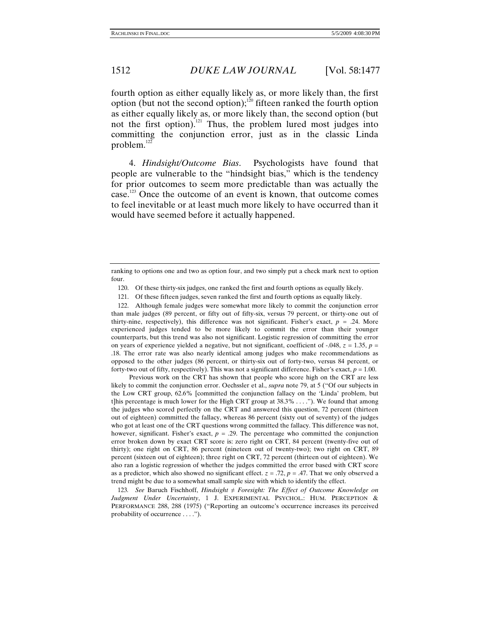fourth option as either equally likely as, or more likely than, the first option (but not the second option);<sup>120</sup> fifteen ranked the fourth option as either equally likely as, or more likely than, the second option (but not the first option).<sup>121</sup> Thus, the problem lured most judges into committing the conjunction error, just as in the classic Linda problem.<sup>122</sup>

4. *Hindsight/Outcome Bias*. Psychologists have found that people are vulnerable to the "hindsight bias," which is the tendency for prior outcomes to seem more predictable than was actually the case.<sup>123</sup> Once the outcome of an event is known, that outcome comes to feel inevitable or at least much more likely to have occurred than it would have seemed before it actually happened.

 122. Although female judges were somewhat more likely to commit the conjunction error than male judges (89 percent, or fifty out of fifty-six, versus 79 percent, or thirty-one out of thirty-nine, respectively), this difference was not significant. Fisher's exact,  $p = .24$ . More experienced judges tended to be more likely to commit the error than their younger counterparts, but this trend was also not significant. Logistic regression of committing the error on years of experience yielded a negative, but not significant, coefficient of -.048,  $z = 1.35$ ,  $p =$ .18. The error rate was also nearly identical among judges who make recommendations as opposed to the other judges (86 percent, or thirty-six out of forty-two, versus 84 percent, or forty-two out of fifty, respectively). This was not a significant difference. Fisher's exact,  $p = 1.00$ .

Previous work on the CRT has shown that people who score high on the CRT are less likely to commit the conjunction error. Oechssler et al., *supra* note 79, at 5 ("Of our subjects in the Low CRT group, 62.6% [committed the conjunction fallacy on the 'Linda' problem, but t]his percentage is much lower for the High CRT group at  $38.3\%$ ...."). We found that among the judges who scored perfectly on the CRT and answered this question, 72 percent (thirteen out of eighteen) committed the fallacy, whereas 86 percent (sixty out of seventy) of the judges who got at least one of the CRT questions wrong committed the fallacy. This difference was not, however, significant. Fisher's exact,  $p = .29$ . The percentage who committed the conjunction error broken down by exact CRT score is: zero right on CRT, 84 percent (twenty-five out of thirty); one right on CRT, 86 percent (nineteen out of twenty-two); two right on CRT, 89 percent (sixteen out of eighteen); three right on CRT, 72 percent (thirteen out of eighteen). We also ran a logistic regression of whether the judges committed the error based with CRT score as a predictor, which also showed no significant effect.  $z = .72$ ,  $p = .47$ . That we only observed a trend might be due to a somewhat small sample size with which to identify the effect.

123*. See* Baruch Fischhoff, *Hindsight ≠ Foresight: The Effect of Outcome Knowledge on Judgment Under Uncertainty*, 1 J. EXPERIMENTAL PSYCHOL.: HUM. PERCEPTION & PERFORMANCE 288, 288 (1975) ("Reporting an outcome's occurrence increases its perceived probability of occurrence . . . .").

ranking to options one and two as option four, and two simply put a check mark next to option four.

 <sup>120.</sup> Of these thirty-six judges, one ranked the first and fourth options as equally likely.

 <sup>121.</sup> Of these fifteen judges, seven ranked the first and fourth options as equally likely.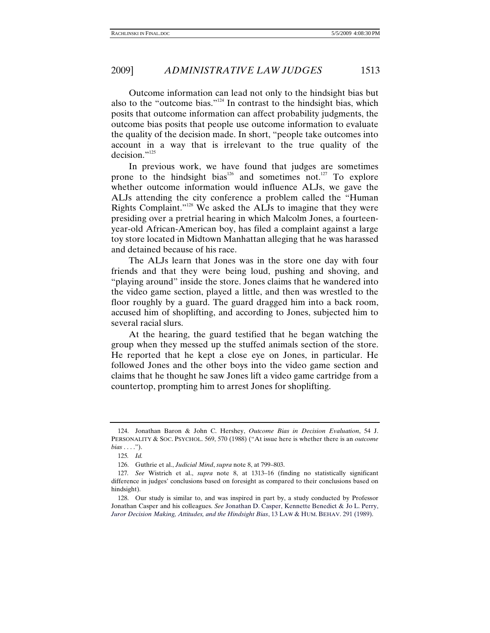Outcome information can lead not only to the hindsight bias but also to the "outcome bias."<sup>124</sup> In contrast to the hindsight bias, which posits that outcome information can affect probability judgments, the outcome bias posits that people use outcome information to evaluate the quality of the decision made. In short, "people take outcomes into account in a way that is irrelevant to the true quality of the decision."<sup>125</sup>

In previous work, we have found that judges are sometimes prone to the hindsight bias<sup>126</sup> and sometimes not.<sup>127</sup> To explore whether outcome information would influence ALJs, we gave the ALJs attending the city conference a problem called the "Human Rights Complaint."128 We asked the ALJs to imagine that they were presiding over a pretrial hearing in which Malcolm Jones, a fourteenyear-old African-American boy, has filed a complaint against a large toy store located in Midtown Manhattan alleging that he was harassed and detained because of his race.

The ALJs learn that Jones was in the store one day with four friends and that they were being loud, pushing and shoving, and "playing around" inside the store. Jones claims that he wandered into the video game section, played a little, and then was wrestled to the floor roughly by a guard. The guard dragged him into a back room, accused him of shoplifting, and according to Jones, subjected him to several racial slurs.

At the hearing, the guard testified that he began watching the group when they messed up the stuffed animals section of the store. He reported that he kept a close eye on Jones, in particular. He followed Jones and the other boys into the video game section and claims that he thought he saw Jones lift a video game cartridge from a countertop, prompting him to arrest Jones for shoplifting.

 <sup>124.</sup> Jonathan Baron & John C. Hershey, *Outcome Bias in Decision Evaluation*, 54 J. PERSONALITY & SOC. PSYCHOL. 569, 570 (1988) ("At issue here is whether there is an *outcome bias* . . . .").

<sup>125</sup>*. Id.*

 <sup>126.</sup> Guthrie et al., *Judicial Mind*, *supra* note 8, at 799–803.

<sup>127</sup>*. See* Wistrich et al., *supra* note 8, at 1313–16 (finding no statistically significant difference in judges' conclusions based on foresight as compared to their conclusions based on hindsight).

 <sup>128.</sup> Our study is similar to, and was inspired in part by, a study conducted by Professor Jonathan Casper and his colleagues. *See* Jonathan D. Casper, Kennette Benedict & Jo L. Perry, *Juror Decision Making, Attitudes, and the Hindsight Bias*, 13 LAW & HUM. BEHAV. 291 (1989).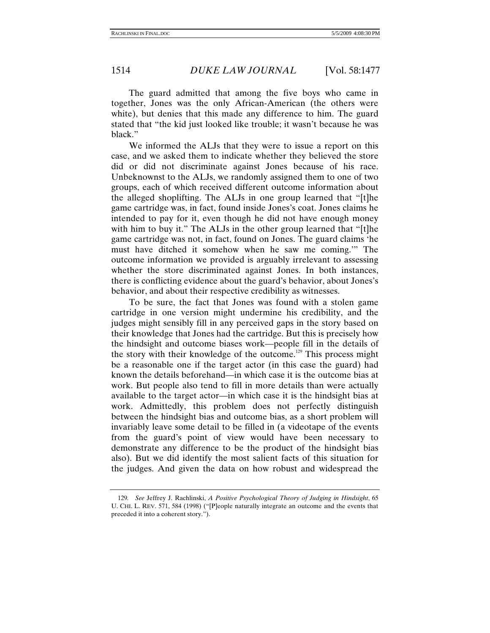The guard admitted that among the five boys who came in together, Jones was the only African-American (the others were white), but denies that this made any difference to him. The guard stated that "the kid just looked like trouble; it wasn't because he was black."

We informed the ALJs that they were to issue a report on this case, and we asked them to indicate whether they believed the store did or did not discriminate against Jones because of his race. Unbeknownst to the ALJs, we randomly assigned them to one of two groups, each of which received different outcome information about the alleged shoplifting. The ALJs in one group learned that "[t]he game cartridge was, in fact, found inside Jones's coat. Jones claims he intended to pay for it, even though he did not have enough money with him to buy it." The ALJs in the other group learned that "[t]he game cartridge was not, in fact, found on Jones. The guard claims 'he must have ditched it somehow when he saw me coming.'" The outcome information we provided is arguably irrelevant to assessing whether the store discriminated against Jones. In both instances, there is conflicting evidence about the guard's behavior, about Jones's behavior, and about their respective credibility as witnesses.

To be sure, the fact that Jones was found with a stolen game cartridge in one version might undermine his credibility, and the judges might sensibly fill in any perceived gaps in the story based on their knowledge that Jones had the cartridge. But this is precisely how the hindsight and outcome biases work—people fill in the details of the story with their knowledge of the outcome.<sup>129</sup> This process might be a reasonable one if the target actor (in this case the guard) had known the details beforehand—in which case it is the outcome bias at work. But people also tend to fill in more details than were actually available to the target actor—in which case it is the hindsight bias at work. Admittedly, this problem does not perfectly distinguish between the hindsight bias and outcome bias, as a short problem will invariably leave some detail to be filled in (a videotape of the events from the guard's point of view would have been necessary to demonstrate any difference to be the product of the hindsight bias also). But we did identify the most salient facts of this situation for the judges. And given the data on how robust and widespread the

<sup>129</sup>*. See* Jeffrey J. Rachlinski, *A Positive Psychological Theory of Judging in Hindsight*, 65 U. CHI. L. REV. 571, 584 (1998) ("[P]eople naturally integrate an outcome and the events that preceded it into a coherent story.").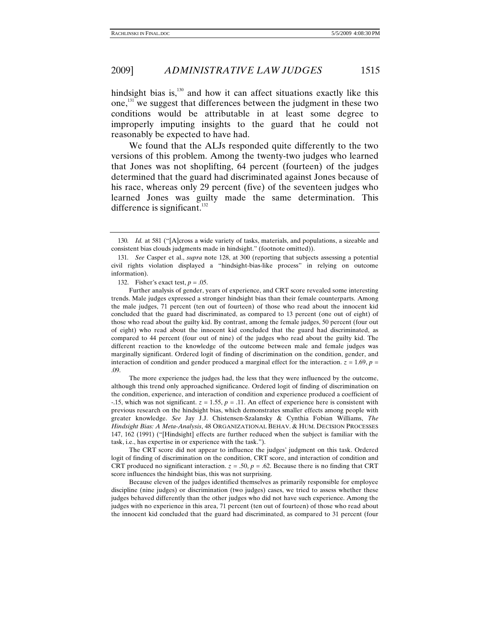# 2009] *ADMINISTRATIVE LAW JUDGES* 1515

hindsight bias is, $130$  and how it can affect situations exactly like this one, $^{131}$  we suggest that differences between the judgment in these two conditions would be attributable in at least some degree to improperly imputing insights to the guard that he could not reasonably be expected to have had.

We found that the ALJs responded quite differently to the two versions of this problem. Among the twenty-two judges who learned that Jones was not shoplifting, 64 percent (fourteen) of the judges determined that the guard had discriminated against Jones because of his race, whereas only 29 percent (five) of the seventeen judges who learned Jones was guilty made the same determination. This difference is significant.<sup>132</sup>

132. Fisher's exact test,  $p = .05$ .

The CRT score did not appear to influence the judges' judgment on this task. Ordered logit of finding of discrimination on the condition, CRT score, and interaction of condition and CRT produced no significant interaction.  $z = .50$ ,  $p = .62$ . Because there is no finding that CRT score influences the hindsight bias, this was not surprising.

Because eleven of the judges identified themselves as primarily responsible for employee discipline (nine judges) or discrimination (two judges) cases, we tried to assess whether these judges behaved differently than the other judges who did not have such experience. Among the judges with no experience in this area, 71 percent (ten out of fourteen) of those who read about the innocent kid concluded that the guard had discriminated, as compared to 31 percent (four

<sup>130</sup>*. Id.* at 581 ("[A]cross a wide variety of tasks, materials, and populations, a sizeable and consistent bias clouds judgments made in hindsight." (footnote omitted)).

<sup>131</sup>*. See* Casper et al., *supra* note 128, at 300 (reporting that subjects assessing a potential civil rights violation displayed a "hindsight-bias-like process" in relying on outcome information).

Further analysis of gender, years of experience, and CRT score revealed some interesting trends. Male judges expressed a stronger hindsight bias than their female counterparts. Among the male judges, 71 percent (ten out of fourteen) of those who read about the innocent kid concluded that the guard had discriminated, as compared to 13 percent (one out of eight) of those who read about the guilty kid. By contrast, among the female judges, 50 percent (four out of eight) who read about the innocent kid concluded that the guard had discriminated, as compared to 44 percent (four out of nine) of the judges who read about the guilty kid. The different reaction to the knowledge of the outcome between male and female judges was marginally significant. Ordered logit of finding of discrimination on the condition, gender, and interaction of condition and gender produced a marginal effect for the interaction.  $z = 1.69$ ,  $p =$ .09.

The more experience the judges had, the less that they were influenced by the outcome, although this trend only approached significance. Ordered logit of finding of discrimination on the condition, experience, and interaction of condition and experience produced a coefficient of -.15, which was not significant. *z* = 1.55, *p* = .11. An effect of experience here is consistent with previous research on the hindsight bias, which demonstrates smaller effects among people with greater knowledge. *See* Jay J.J. Chistensen-Szalansky & Cynthia Fobian Williams, *The Hindsight Bias: A Meta-Analysis*, 48 ORGANIZATIONAL BEHAV. & HUM. DECISION PROCESSES 147, 162 (1991) ("[Hindsight] effects are further reduced when the subject is familiar with the task, i.e., has expertise in or experience with the task.").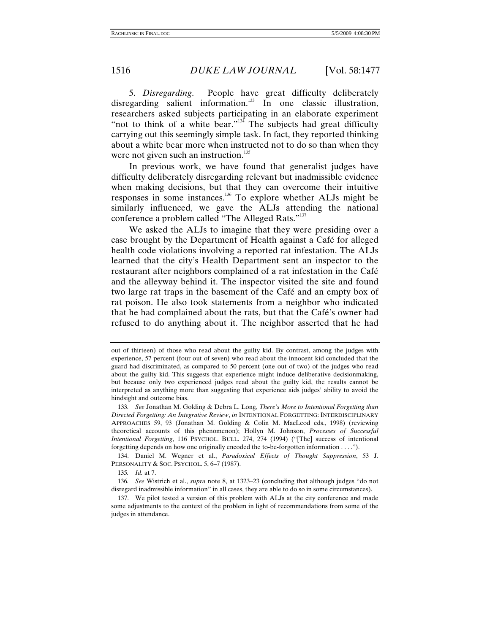5. *Disregarding*. People have great difficulty deliberately disregarding salient information.<sup>133</sup> In one classic illustration, researchers asked subjects participating in an elaborate experiment "not to think of a white bear."<sup>134</sup> The subjects had great difficulty carrying out this seemingly simple task. In fact, they reported thinking about a white bear more when instructed not to do so than when they were not given such an instruction.<sup>135</sup>

In previous work, we have found that generalist judges have difficulty deliberately disregarding relevant but inadmissible evidence when making decisions, but that they can overcome their intuitive responses in some instances.<sup>136</sup> To explore whether ALJs might be similarly influenced, we gave the ALJs attending the national conference a problem called "The Alleged Rats."137

We asked the ALJs to imagine that they were presiding over a case brought by the Department of Health against a Café for alleged health code violations involving a reported rat infestation. The ALJs learned that the city's Health Department sent an inspector to the restaurant after neighbors complained of a rat infestation in the Café and the alleyway behind it. The inspector visited the site and found two large rat traps in the basement of the Café and an empty box of rat poison. He also took statements from a neighbor who indicated that he had complained about the rats, but that the Café's owner had refused to do anything about it. The neighbor asserted that he had

 134. Daniel M. Wegner et al., *Paradoxical Effects of Thought Suppression*, 53 J. PERSONALITY & SOC. PSYCHOL. 5, 6–7 (1987).

135*. Id.* at 7.

136*. See* Wistrich et al., *supra* note 8, at 1323–23 (concluding that although judges "do not disregard inadmissible information" in all cases, they are able to do so in some circumstances).

out of thirteen) of those who read about the guilty kid. By contrast, among the judges with experience, 57 percent (four out of seven) who read about the innocent kid concluded that the guard had discriminated, as compared to 50 percent (one out of two) of the judges who read about the guilty kid. This suggests that experience might induce deliberative decisionmaking, but because only two experienced judges read about the guilty kid, the results cannot be interpreted as anything more than suggesting that experience aids judges' ability to avoid the hindsight and outcome bias.

<sup>133</sup>*. See* Jonathan M. Golding & Debra L. Long, *There's More to Intentional Forgetting than Directed Forgetting: An Integrative Review*, *in* INTENTIONAL FORGETTING: INTERDISCIPLINARY APPROACHES 59, 93 (Jonathan M. Golding & Colin M. MacLeod eds., 1998) (reviewing theoretical accounts of this phenomenon); Hollyn M. Johnson, *Processes of Successful Intentional Forgetting*, 116 PSYCHOL. BULL. 274, 274 (1994) ("[The] success of intentional forgetting depends on how one originally encoded the to-be-forgotten information . . . .").

 <sup>137.</sup> We pilot tested a version of this problem with ALJs at the city conference and made some adjustments to the context of the problem in light of recommendations from some of the judges in attendance.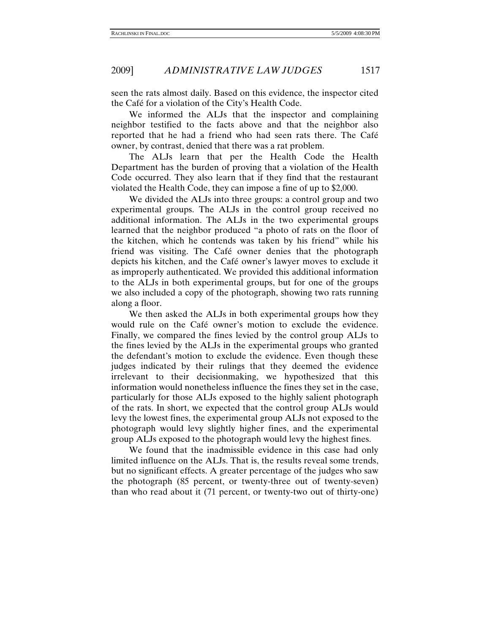seen the rats almost daily. Based on this evidence, the inspector cited the Café for a violation of the City's Health Code.

We informed the ALJs that the inspector and complaining neighbor testified to the facts above and that the neighbor also reported that he had a friend who had seen rats there. The Café owner, by contrast, denied that there was a rat problem.

The ALJs learn that per the Health Code the Health Department has the burden of proving that a violation of the Health Code occurred. They also learn that if they find that the restaurant violated the Health Code, they can impose a fine of up to \$2,000.

We divided the ALJs into three groups: a control group and two experimental groups. The ALJs in the control group received no additional information. The ALJs in the two experimental groups learned that the neighbor produced "a photo of rats on the floor of the kitchen, which he contends was taken by his friend" while his friend was visiting. The Café owner denies that the photograph depicts his kitchen, and the Café owner's lawyer moves to exclude it as improperly authenticated. We provided this additional information to the ALJs in both experimental groups, but for one of the groups we also included a copy of the photograph, showing two rats running along a floor.

We then asked the ALJs in both experimental groups how they would rule on the Café owner's motion to exclude the evidence. Finally, we compared the fines levied by the control group ALJs to the fines levied by the ALJs in the experimental groups who granted the defendant's motion to exclude the evidence. Even though these judges indicated by their rulings that they deemed the evidence irrelevant to their decisionmaking, we hypothesized that this information would nonetheless influence the fines they set in the case, particularly for those ALJs exposed to the highly salient photograph of the rats. In short, we expected that the control group ALJs would levy the lowest fines, the experimental group ALJs not exposed to the photograph would levy slightly higher fines, and the experimental group ALJs exposed to the photograph would levy the highest fines.

We found that the inadmissible evidence in this case had only limited influence on the ALJs. That is, the results reveal some trends, but no significant effects. A greater percentage of the judges who saw the photograph (85 percent, or twenty-three out of twenty-seven) than who read about it (71 percent, or twenty-two out of thirty-one)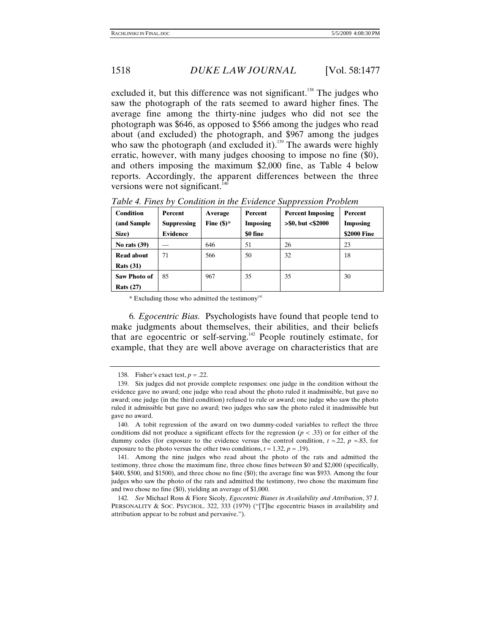excluded it, but this difference was not significant.<sup>138</sup> The judges who saw the photograph of the rats seemed to award higher fines. The average fine among the thirty-nine judges who did not see the photograph was \$646, as opposed to \$566 among the judges who read about (and excluded) the photograph, and \$967 among the judges who saw the photograph (and excluded it).<sup>139</sup> The awards were highly erratic, however, with many judges choosing to impose no fine (\$0), and others imposing the maximum \$2,000 fine, as Table 4 below reports. Accordingly, the apparent differences between the three versions were not significant. $140$ 

| <b>Condition</b>    | Percent            | Average       | Percent         | <b>Percent Imposing</b> | Percent         |
|---------------------|--------------------|---------------|-----------------|-------------------------|-----------------|
| (and Sample         | <b>Suppressing</b> | Fine $(\$)^*$ | <b>Imposing</b> | > \$0, but < \$2000     | <b>Imposing</b> |
| Size)               | <b>Evidence</b>    |               | \$0 fine        |                         | \$2000 Fine     |
| No rats $(39)$      |                    | 646           | 51              | 26                      | 23              |
| <b>Read about</b>   | 71                 | 566           | 50              | 32                      | 18              |
| <b>Rats</b> (31)    |                    |               |                 |                         |                 |
| <b>Saw Photo of</b> | 85                 | 967           | 35              | 35                      | 30              |
| <b>Rats (27)</b>    |                    |               |                 |                         |                 |

*Table 4. Fines by Condition in the Evidence Suppression Problem* 

 $*$  Excluding those who admitted the testimony<sup>141</sup>

6*. Egocentric Bias.* Psychologists have found that people tend to make judgments about themselves, their abilities, and their beliefs that are egocentric or self-serving.142 People routinely estimate, for example, that they are well above average on characteristics that are

 <sup>138.</sup> Fisher's exact test, *p* = .22.

 <sup>139.</sup> Six judges did not provide complete responses: one judge in the condition without the evidence gave no award; one judge who read about the photo ruled it inadmissible, but gave no award; one judge (in the third condition) refused to rule or award; one judge who saw the photo ruled it admissible but gave no award; two judges who saw the photo ruled it inadmissible but gave no award.

 <sup>140.</sup> A tobit regression of the award on two dummy-coded variables to reflect the three conditions did not produce a significant effects for the regression  $(p < .33)$  or for either of the dummy codes (for exposure to the evidence versus the control condition,  $t = 22$ ,  $p = 83$ , for exposure to the photo versus the other two conditions,  $t = 1.32$ ,  $p = .19$ ).

 <sup>141.</sup> Among the nine judges who read about the photo of the rats and admitted the testimony, three chose the maximum fine, three chose fines between \$0 and \$2,000 (specifically, \$400, \$500, and \$1500), and three chose no fine (\$0); the average fine was \$933. Among the four judges who saw the photo of the rats and admitted the testimony, two chose the maximum fine and two chose no fine (\$0), yielding an average of \$1,000.

<sup>142</sup>*. See* Michael Ross & Fiore Sicoly, *Egocentric Biases in Availability and Attribution*, 37 J. PERSONALITY & SOC. PSYCHOL. 322, 333 (1979) ("[T]he egocentric biases in availability and attribution appear to be robust and pervasive.").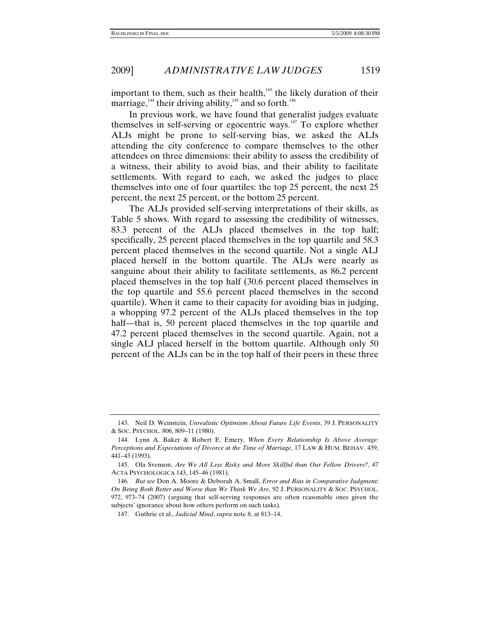important to them, such as their health, $143$  the likely duration of their marriage, $144$  their driving ability, $145$  and so forth.<sup>146</sup>

In previous work, we have found that generalist judges evaluate themselves in self-serving or egocentric ways.147 To explore whether ALJs might be prone to self-serving bias, we asked the ALJs attending the city conference to compare themselves to the other attendees on three dimensions: their ability to assess the credibility of a witness, their ability to avoid bias, and their ability to facilitate settlements. With regard to each, we asked the judges to place themselves into one of four quartiles: the top 25 percent, the next 25 percent, the next 25 percent, or the bottom 25 percent.

The ALJs provided self-serving interpretations of their skills, as Table 5 shows. With regard to assessing the credibility of witnesses, 83.3 percent of the ALJs placed themselves in the top half; specifically, 25 percent placed themselves in the top quartile and 58.3 percent placed themselves in the second quartile. Not a single ALJ placed herself in the bottom quartile. The ALJs were nearly as sanguine about their ability to facilitate settlements, as 86.2 percent placed themselves in the top half (30.6 percent placed themselves in the top quartile and 55.6 percent placed themselves in the second quartile). When it came to their capacity for avoiding bias in judging, a whopping 97.2 percent of the ALJs placed themselves in the top half—that is, 50 percent placed themselves in the top quartile and 47.2 percent placed themselves in the second quartile. Again, not a single ALJ placed herself in the bottom quartile. Although only 50 percent of the ALJs can be in the top half of their peers in these three

 <sup>143.</sup> Neil D. Weinstein, *Unrealistic Optimism About Future Life Events*, 39 J. PERSONALITY & SOC. PSYCHOL. 806, 809–11 (1980).

 <sup>144.</sup> Lynn A. Baker & Robert E. Emery, *When Every Relationship Is Above Average: Perceptions and Expectations of Divorce at the Time of Marriage*, 17 LAW & HUM. BEHAV. 439, 441–43 (1993).

 <sup>145.</sup> Ola Svenson, *Are We All Less Risky and More Skillful than Our Fellow Drivers?*, 47 ACTA PSYCHOLOGICA 143, 145–46 (1981).

<sup>146</sup>*. But see* Don A. Moore & Deborah A. Small, *Error and Bias in Comparative Judgment: On Being Both Better and Worse than We Think We Are*, 92 J. PERSONALITY & SOC. PSYCHOL. 972, 973–74 (2007) (arguing that self-serving responses are often reasonable ones given the subjects' ignorance about how others perform on such tasks).

 <sup>147.</sup> Guthrie et al., *Judicial Mind*, *supra* note 8, at 813–14.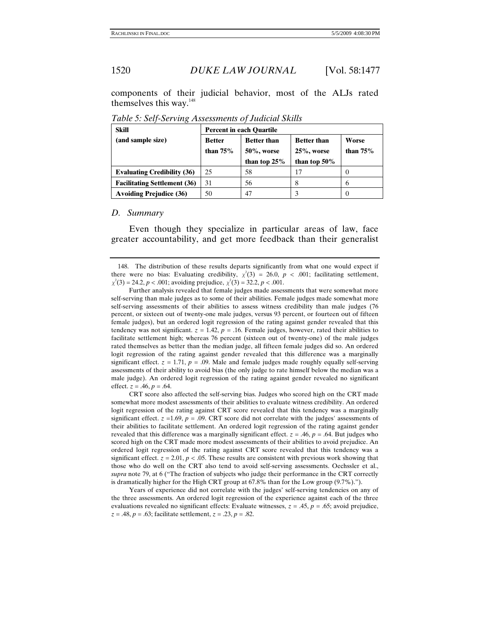components of their judicial behavior, most of the ALJs rated themselves this way.<sup>148</sup>

| Skill                               | <b>Percent in each Quartile</b> |                                      |                                      |                     |  |  |
|-------------------------------------|---------------------------------|--------------------------------------|--------------------------------------|---------------------|--|--|
| (and sample size)                   | <b>Better</b><br>than $75%$     | <b>Better than</b><br>$50\%$ , worse | <b>Better than</b><br>$25\%$ , worse | Worse<br>than $75%$ |  |  |
|                                     |                                 | than top $25%$                       | than top $50\%$                      |                     |  |  |
| <b>Evaluating Credibility (36)</b>  | 25                              | 58                                   |                                      |                     |  |  |
| <b>Facilitating Settlement (36)</b> | 31                              | 56                                   | 8                                    | h                   |  |  |
| <b>Avoiding Prejudice (36)</b>      | 50                              | 47                                   |                                      |                     |  |  |

*Table 5: Self-Serving Assessments of Judicial Skills* 

#### *D. Summary*

Even though they specialize in particular areas of law, face greater accountability, and get more feedback than their generalist

Further analysis revealed that female judges made assessments that were somewhat more self-serving than male judges as to some of their abilities. Female judges made somewhat more self-serving assessments of their abilities to assess witness credibility than male judges (76 percent, or sixteen out of twenty-one male judges, versus 93 percent, or fourteen out of fifteen female judges), but an ordered logit regression of the rating against gender revealed that this tendency was not significant.  $z = 1.42$ ,  $p = .16$ . Female judges, however, rated their abilities to facilitate settlement high; whereas 76 percent (sixteen out of twenty-one) of the male judges rated themselves as better than the median judge, all fifteen female judges did so. An ordered logit regression of the rating against gender revealed that this difference was a marginally significant effect.  $z = 1.71$ ,  $p = .09$ . Male and female judges made roughly equally self-serving assessments of their ability to avoid bias (the only judge to rate himself below the median was a male judge). An ordered logit regression of the rating against gender revealed no significant effect.  $z = .46$ ,  $p = .64$ .

CRT score also affected the self-serving bias. Judges who scored high on the CRT made somewhat more modest assessments of their abilities to evaluate witness credibility. An ordered logit regression of the rating against CRT score revealed that this tendency was a marginally significant effect.  $z = 1.69$ ,  $p = .09$ . CRT score did not correlate with the judges' assessments of their abilities to facilitate settlement. An ordered logit regression of the rating against gender revealed that this difference was a marginally significant effect.  $z = .46$ ,  $p = .64$ . But judges who scored high on the CRT made more modest assessments of their abilities to avoid prejudice. An ordered logit regression of the rating against CRT score revealed that this tendency was a significant effect.  $z = 2.01$ ,  $p < .05$ . These results are consistent with previous work showing that those who do well on the CRT also tend to avoid self-serving assessments. Oechssler et al., *supra* note 79, at 6 ("The fraction of subjects who judge their performance in the CRT correctly is dramatically higher for the High CRT group at 67.8% than for the Low group (9.7%).").

Years of experience did not correlate with the judges' self-serving tendencies on any of the three assessments. An ordered logit regression of the experience against each of the three evaluations revealed no significant effects: Evaluate witnesses,  $z = .45$ ,  $p = .65$ ; avoid prejudice, *z* = .48, *p* = .63; facilitate settlement, *z* = .23, *p* = .82.

 <sup>148.</sup> The distribution of these results departs significantly from what one would expect if there were no bias: Evaluating credibility,  $\chi^2(3) = 26.0$ ,  $p < .001$ ; facilitating settlement,  $\chi^2(3) = 24.2, p < .001$ ; avoiding prejudice,  $\chi^2(3) = 32.2, p < .001$ .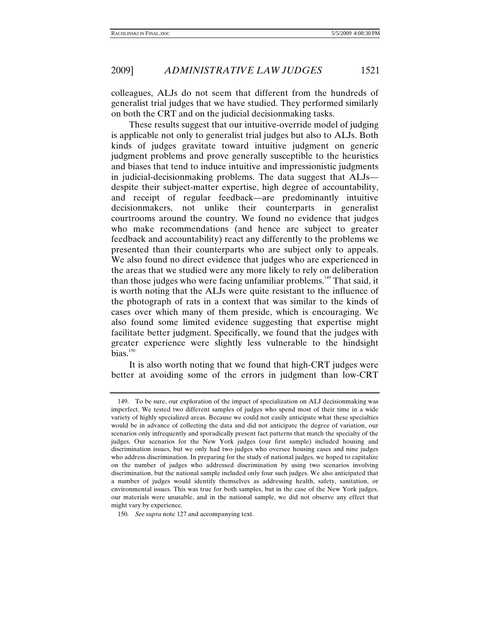colleagues, ALJs do not seem that different from the hundreds of generalist trial judges that we have studied. They performed similarly on both the CRT and on the judicial decisionmaking tasks.

These results suggest that our intuitive-override model of judging is applicable not only to generalist trial judges but also to ALJs. Both kinds of judges gravitate toward intuitive judgment on generic judgment problems and prove generally susceptible to the heuristics and biases that tend to induce intuitive and impressionistic judgments in judicial-decisionmaking problems. The data suggest that ALJs despite their subject-matter expertise, high degree of accountability, and receipt of regular feedback—are predominantly intuitive decisionmakers, not unlike their counterparts in generalist courtrooms around the country. We found no evidence that judges who make recommendations (and hence are subject to greater feedback and accountability) react any differently to the problems we presented than their counterparts who are subject only to appeals. We also found no direct evidence that judges who are experienced in the areas that we studied were any more likely to rely on deliberation than those judges who were facing unfamiliar problems.<sup>149</sup> That said, it is worth noting that the ALJs were quite resistant to the influence of the photograph of rats in a context that was similar to the kinds of cases over which many of them preside, which is encouraging. We also found some limited evidence suggesting that expertise might facilitate better judgment. Specifically, we found that the judges with greater experience were slightly less vulnerable to the hindsight  $bias<sub>150</sub>$ 

It is also worth noting that we found that high-CRT judges were better at avoiding some of the errors in judgment than low-CRT

 <sup>149.</sup> To be sure, our exploration of the impact of specialization on ALJ decisionmaking was imperfect. We tested two different samples of judges who spend most of their time in a wide variety of highly specialized areas. Because we could not easily anticipate what these specialties would be in advance of collecting the data and did not anticipate the degree of variation, our scenarios only infrequently and sporadically present fact patterns that match the specialty of the judges. Our scenarios for the New York judges (our first sample) included housing and discrimination issues, but we only had two judges who oversee housing cases and nine judges who address discrimination. In preparing for the study of national judges, we hoped to capitalize on the number of judges who addressed discrimination by using two scenarios involving discrimination, but the national sample included only four such judges. We also anticipated that a number of judges would identify themselves as addressing health, safety, sanitation, or environmental issues. This was true for both samples, but in the case of the New York judges, our materials were unusable, and in the national sample, we did not observe any effect that might vary by experience.

<sup>150</sup>*. See supra* note 127 and accompanying text.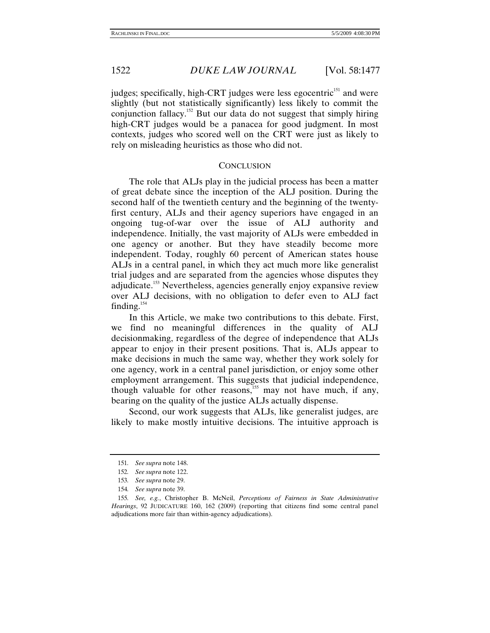judges; specifically, high-CRT judges were less egocentric<sup>151</sup> and were slightly (but not statistically significantly) less likely to commit the conjunction fallacy.152 But our data do not suggest that simply hiring high-CRT judges would be a panacea for good judgment. In most contexts, judges who scored well on the CRT were just as likely to rely on misleading heuristics as those who did not.

## **CONCLUSION**

The role that ALJs play in the judicial process has been a matter of great debate since the inception of the ALJ position. During the second half of the twentieth century and the beginning of the twentyfirst century, ALJs and their agency superiors have engaged in an ongoing tug-of-war over the issue of ALJ authority and independence. Initially, the vast majority of ALJs were embedded in one agency or another. But they have steadily become more independent. Today, roughly 60 percent of American states house ALJs in a central panel, in which they act much more like generalist trial judges and are separated from the agencies whose disputes they adjudicate.153 Nevertheless, agencies generally enjoy expansive review over ALJ decisions, with no obligation to defer even to ALJ fact finding. $154$ 

In this Article, we make two contributions to this debate. First, we find no meaningful differences in the quality of ALJ decisionmaking, regardless of the degree of independence that ALJs appear to enjoy in their present positions. That is, ALJs appear to make decisions in much the same way, whether they work solely for one agency, work in a central panel jurisdiction, or enjoy some other employment arrangement. This suggests that judicial independence, though valuable for other reasons,<sup>155</sup> may not have much, if any, bearing on the quality of the justice ALJs actually dispense.

Second, our work suggests that ALJs, like generalist judges, are likely to make mostly intuitive decisions. The intuitive approach is

<sup>151</sup>*. See supra* note 148.

<sup>152</sup>*. See supra* note 122.

<sup>153</sup>*. See supra* note 29.

<sup>154</sup>*. See supra* note 39.

<sup>155</sup>*. See, e.g.*, Christopher B. McNeil, *Perceptions of Fairness in State Administrative Hearings*, 92 JUDICATURE 160, 162 (2009) (reporting that citizens find some central panel adjudications more fair than within-agency adjudications).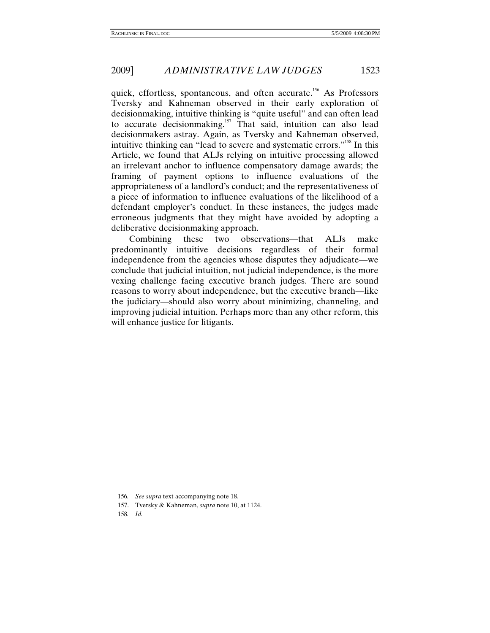quick, effortless, spontaneous, and often accurate.<sup>156</sup> As Professors Tversky and Kahneman observed in their early exploration of decisionmaking, intuitive thinking is "quite useful" and can often lead to accurate decisionmaking.<sup>157</sup> That said, intuition can also lead decisionmakers astray. Again, as Tversky and Kahneman observed, intuitive thinking can "lead to severe and systematic errors."<sup>158</sup> In this Article, we found that ALJs relying on intuitive processing allowed an irrelevant anchor to influence compensatory damage awards; the framing of payment options to influence evaluations of the appropriateness of a landlord's conduct; and the representativeness of a piece of information to influence evaluations of the likelihood of a defendant employer's conduct. In these instances, the judges made erroneous judgments that they might have avoided by adopting a deliberative decisionmaking approach.

Combining these two observations—that ALJs make predominantly intuitive decisions regardless of their formal independence from the agencies whose disputes they adjudicate—we conclude that judicial intuition, not judicial independence, is the more vexing challenge facing executive branch judges. There are sound reasons to worry about independence, but the executive branch—like the judiciary—should also worry about minimizing, channeling, and improving judicial intuition. Perhaps more than any other reform, this will enhance justice for litigants.

<sup>156</sup>*. See supra* text accompanying note 18.

 <sup>157.</sup> Tversky & Kahneman, *supra* note 10, at 1124.

<sup>158</sup>*. Id.*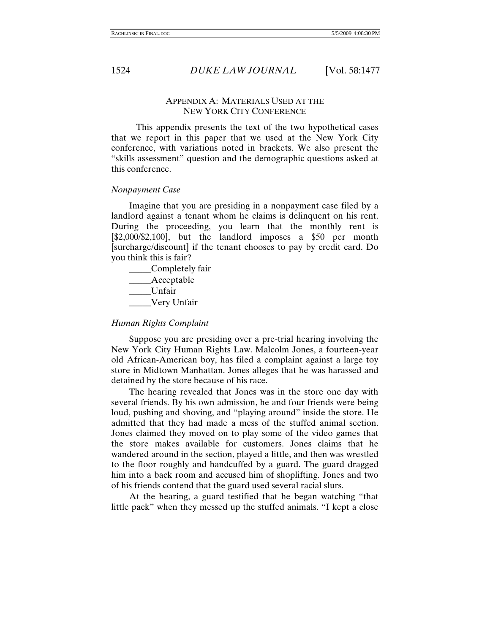# APPENDIX A: MATERIALS USED AT THE NEW YORK CITY CONFERENCE

 This appendix presents the text of the two hypothetical cases that we report in this paper that we used at the New York City conference, with variations noted in brackets. We also present the "skills assessment" question and the demographic questions asked at this conference.

# *Nonpayment Case*

Imagine that you are presiding in a nonpayment case filed by a landlord against a tenant whom he claims is delinquent on his rent. During the proceeding, you learn that the monthly rent is [\$2,000/\$2,100], but the landlord imposes a \$50 per month [surcharge/discount] if the tenant chooses to pay by credit card. Do you think this is fair?

\_\_\_\_\_Completely fair \_\_\_\_\_Acceptable \_\_\_\_\_Unfair \_\_\_\_\_Very Unfair

# *Human Rights Complaint*

Suppose you are presiding over a pre-trial hearing involving the New York City Human Rights Law. Malcolm Jones, a fourteen-year old African-American boy, has filed a complaint against a large toy store in Midtown Manhattan. Jones alleges that he was harassed and detained by the store because of his race.

The hearing revealed that Jones was in the store one day with several friends. By his own admission, he and four friends were being loud, pushing and shoving, and "playing around" inside the store. He admitted that they had made a mess of the stuffed animal section. Jones claimed they moved on to play some of the video games that the store makes available for customers. Jones claims that he wandered around in the section, played a little, and then was wrestled to the floor roughly and handcuffed by a guard. The guard dragged him into a back room and accused him of shoplifting. Jones and two of his friends contend that the guard used several racial slurs.

At the hearing, a guard testified that he began watching "that little pack" when they messed up the stuffed animals. "I kept a close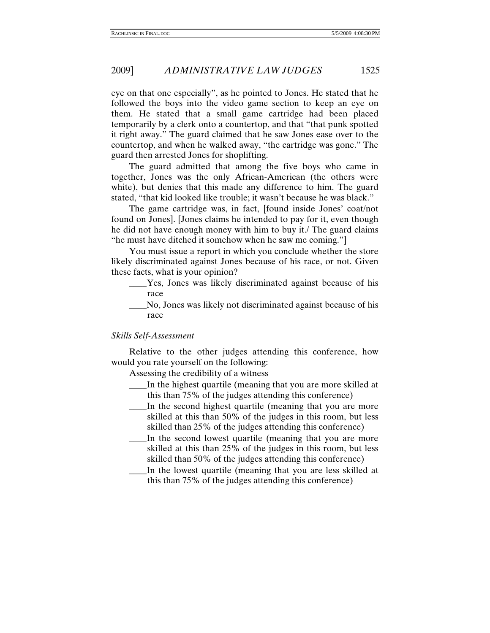eye on that one especially", as he pointed to Jones. He stated that he followed the boys into the video game section to keep an eye on them. He stated that a small game cartridge had been placed temporarily by a clerk onto a countertop, and that "that punk spotted it right away." The guard claimed that he saw Jones ease over to the countertop, and when he walked away, "the cartridge was gone." The guard then arrested Jones for shoplifting.

The guard admitted that among the five boys who came in together, Jones was the only African-American (the others were white), but denies that this made any difference to him. The guard stated, "that kid looked like trouble; it wasn't because he was black."

The game cartridge was, in fact, [found inside Jones' coat/not found on Jones]. [Jones claims he intended to pay for it, even though he did not have enough money with him to buy it./ The guard claims "he must have ditched it somehow when he saw me coming."]

You must issue a report in which you conclude whether the store likely discriminated against Jones because of his race, or not. Given these facts, what is your opinion?

\_\_\_\_Yes, Jones was likely discriminated against because of his race

\_\_\_\_No, Jones was likely not discriminated against because of his race

# *Skills Self-Assessment*

Relative to the other judges attending this conference, how would you rate yourself on the following:

Assessing the credibility of a witness

- \_\_\_\_In the highest quartile (meaning that you are more skilled at this than 75% of the judges attending this conference)
- In the second highest quartile (meaning that you are more skilled at this than 50% of the judges in this room, but less skilled than 25% of the judges attending this conference)
- In the second lowest quartile (meaning that you are more skilled at this than 25% of the judges in this room, but less skilled than 50% of the judges attending this conference)
- In the lowest quartile (meaning that you are less skilled at this than 75% of the judges attending this conference)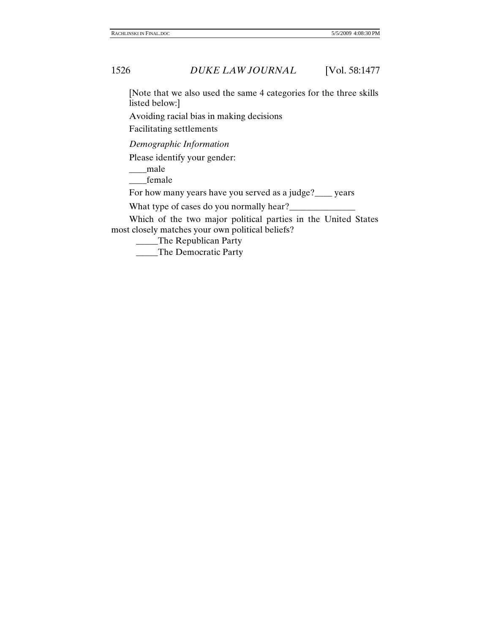[Note that we also used the same 4 categories for the three skills listed below:]

Avoiding racial bias in making decisions

Facilitating settlements

*Demographic Information* 

Please identify your gender:

\_\_\_\_male

\_\_\_\_female

For how many years have you served as a judge?\_\_\_\_ years

What type of cases do you normally hear?

Which of the two major political parties in the United States most closely matches your own political beliefs?

\_\_\_\_The Republican Party

\_\_\_\_\_The Democratic Party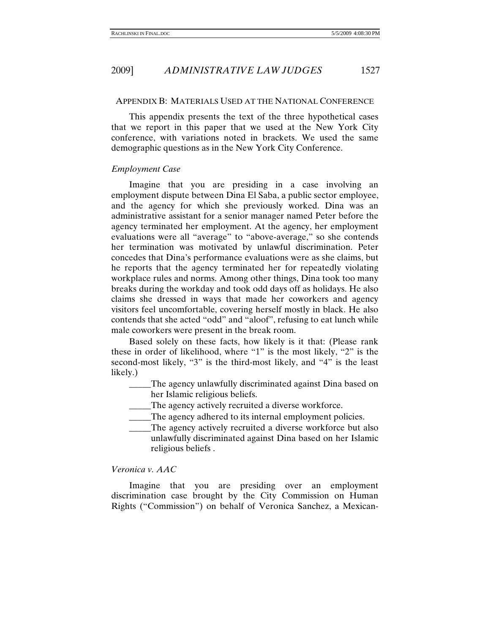#### APPENDIX B: MATERIALS USED AT THE NATIONAL CONFERENCE

This appendix presents the text of the three hypothetical cases that we report in this paper that we used at the New York City conference, with variations noted in brackets. We used the same demographic questions as in the New York City Conference.

## *Employment Case*

Imagine that you are presiding in a case involving an employment dispute between Dina El Saba, a public sector employee, and the agency for which she previously worked. Dina was an administrative assistant for a senior manager named Peter before the agency terminated her employment. At the agency, her employment evaluations were all "average" to "above-average," so she contends her termination was motivated by unlawful discrimination. Peter concedes that Dina's performance evaluations were as she claims, but he reports that the agency terminated her for repeatedly violating workplace rules and norms. Among other things, Dina took too many breaks during the workday and took odd days off as holidays. He also claims she dressed in ways that made her coworkers and agency visitors feel uncomfortable, covering herself mostly in black. He also contends that she acted "odd" and "aloof", refusing to eat lunch while male coworkers were present in the break room.

Based solely on these facts, how likely is it that: (Please rank these in order of likelihood, where "1" is the most likely, "2" is the second-most likely, "3" is the third-most likely, and "4" is the least likely.)

\_\_\_\_\_The agency unlawfully discriminated against Dina based on her Islamic religious beliefs.

- \_\_\_\_\_The agency actively recruited a diverse workforce.
- \_\_\_\_\_The agency adhered to its internal employment policies.
- \_\_\_\_\_The agency actively recruited a diverse workforce but also unlawfully discriminated against Dina based on her Islamic religious beliefs .

## *Veronica v. AAC*

Imagine that you are presiding over an employment discrimination case brought by the City Commission on Human Rights ("Commission") on behalf of Veronica Sanchez, a Mexican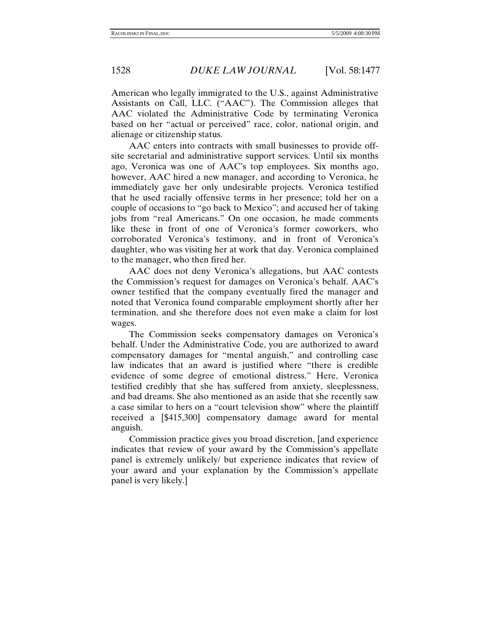American who legally immigrated to the U.S., against Administrative Assistants on Call, LLC. ("AAC"). The Commission alleges that AAC violated the Administrative Code by terminating Veronica based on her "actual or perceived" race, color, national origin, and alienage or citizenship status.

AAC enters into contracts with small businesses to provide offsite secretarial and administrative support services. Until six months ago, Veronica was one of AAC's top employees. Six months ago, however, AAC hired a new manager, and according to Veronica, he immediately gave her only undesirable projects. Veronica testified that he used racially offensive terms in her presence; told her on a couple of occasions to "go back to Mexico"; and accused her of taking jobs from "real Americans." On one occasion, he made comments like these in front of one of Veronica's former coworkers, who corroborated Veronica's testimony, and in front of Veronica's daughter, who was visiting her at work that day. Veronica complained to the manager, who then fired her.

AAC does not deny Veronica's allegations, but AAC contests the Commission's request for damages on Veronica's behalf. AAC's owner testified that the company eventually fired the manager and noted that Veronica found comparable employment shortly after her termination, and she therefore does not even make a claim for lost wages.

The Commission seeks compensatory damages on Veronica's behalf. Under the Administrative Code, you are authorized to award compensatory damages for "mental anguish," and controlling case law indicates that an award is justified where "there is credible evidence of some degree of emotional distress." Here, Veronica testified credibly that she has suffered from anxiety, sleeplessness, and bad dreams. She also mentioned as an aside that she recently saw a case similar to hers on a "court television show" where the plaintiff received a [\$415,300] compensatory damage award for mental anguish.

Commission practice gives you broad discretion, [and experience indicates that review of your award by the Commission's appellate panel is extremely unlikely/ but experience indicates that review of your award and your explanation by the Commission's appellate panel is very likely.]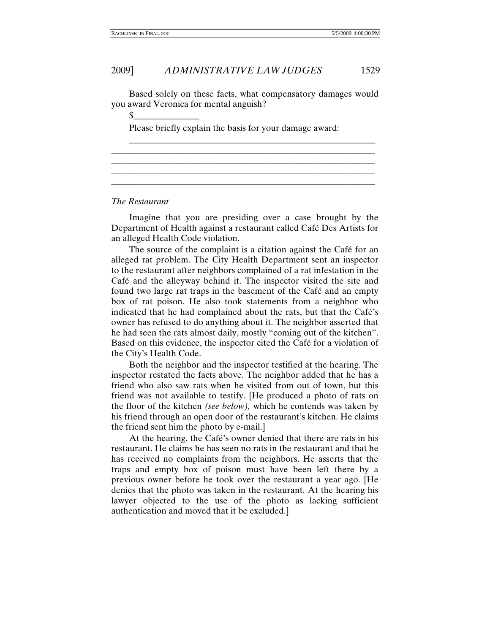Based solely on these facts, what compensatory damages would you award Veronica for mental anguish?

\_\_\_\_\_\_\_\_\_\_\_\_\_\_\_\_\_\_\_\_\_\_\_\_\_\_\_\_\_\_\_\_\_\_\_\_\_\_\_\_\_\_\_\_\_\_\_\_\_\_\_\_\_\_\_\_ \_\_\_\_\_\_\_\_\_\_\_\_\_\_\_\_\_\_\_\_\_\_\_\_\_\_\_\_\_\_\_\_\_\_\_\_\_\_\_\_\_\_\_\_\_\_\_\_\_\_\_\_\_\_\_\_\_\_\_\_ \_\_\_\_\_\_\_\_\_\_\_\_\_\_\_\_\_\_\_\_\_\_\_\_\_\_\_\_\_\_\_\_\_\_\_\_\_\_\_\_\_\_\_\_\_\_\_\_\_\_\_\_\_\_\_\_\_\_\_\_ \_\_\_\_\_\_\_\_\_\_\_\_\_\_\_\_\_\_\_\_\_\_\_\_\_\_\_\_\_\_\_\_\_\_\_\_\_\_\_\_\_\_\_\_\_\_\_\_\_\_\_\_\_\_\_\_\_\_\_\_ \_\_\_\_\_\_\_\_\_\_\_\_\_\_\_\_\_\_\_\_\_\_\_\_\_\_\_\_\_\_\_\_\_\_\_\_\_\_\_\_\_\_\_\_\_\_\_\_\_\_\_\_\_\_\_\_\_\_\_\_

 $\frac{\text{S}}{\text{S}}$ 

Please briefly explain the basis for your damage award:

## *The Restaurant*

Imagine that you are presiding over a case brought by the Department of Health against a restaurant called Café Des Artists for an alleged Health Code violation.

The source of the complaint is a citation against the Café for an alleged rat problem. The City Health Department sent an inspector to the restaurant after neighbors complained of a rat infestation in the Café and the alleyway behind it. The inspector visited the site and found two large rat traps in the basement of the Café and an empty box of rat poison. He also took statements from a neighbor who indicated that he had complained about the rats, but that the Café's owner has refused to do anything about it. The neighbor asserted that he had seen the rats almost daily, mostly "coming out of the kitchen". Based on this evidence, the inspector cited the Café for a violation of the City's Health Code.

Both the neighbor and the inspector testified at the hearing. The inspector restated the facts above. The neighbor added that he has a friend who also saw rats when he visited from out of town, but this friend was not available to testify. [He produced a photo of rats on the floor of the kitchen *(see below),* which he contends was taken by his friend through an open door of the restaurant's kitchen. He claims the friend sent him the photo by e-mail.]

At the hearing, the Café's owner denied that there are rats in his restaurant. He claims he has seen no rats in the restaurant and that he has received no complaints from the neighbors. He asserts that the traps and empty box of poison must have been left there by a previous owner before he took over the restaurant a year ago. [He denies that the photo was taken in the restaurant. At the hearing his lawyer objected to the use of the photo as lacking sufficient authentication and moved that it be excluded.]